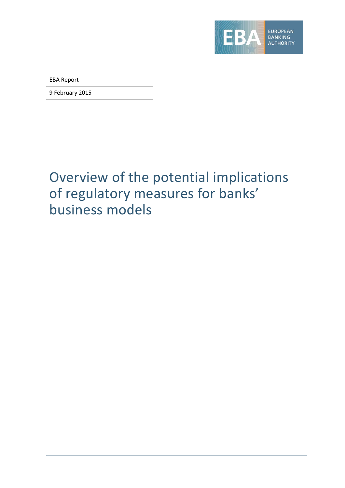

EBA Report

9 February 2015

# <span id="page-0-0"></span>Overview of the potential implications of regulatory measures for banks' business models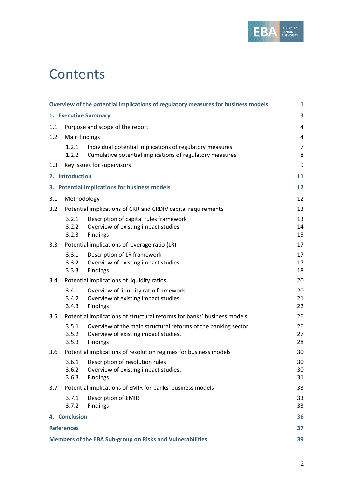

# **Contents**

| Overview of the potential implications of regulatory measures for business models<br>$\mathbf{1}$ |                                                                 |                                                                                                                      |                     |  |  |  |  |  |  |  |
|---------------------------------------------------------------------------------------------------|-----------------------------------------------------------------|----------------------------------------------------------------------------------------------------------------------|---------------------|--|--|--|--|--|--|--|
| 1. Executive Summary<br>3                                                                         |                                                                 |                                                                                                                      |                     |  |  |  |  |  |  |  |
| 1.1                                                                                               |                                                                 | Purpose and scope of the report                                                                                      | 4                   |  |  |  |  |  |  |  |
| 1.2                                                                                               | Main findings                                                   |                                                                                                                      | 4                   |  |  |  |  |  |  |  |
|                                                                                                   | 1.2.1<br>1.2.2                                                  | Individual potential implications of regulatory measures<br>Cumulative potential implications of regulatory measures | $\overline{7}$<br>8 |  |  |  |  |  |  |  |
| 9<br>Key issues for supervisors<br>1.3                                                            |                                                                 |                                                                                                                      |                     |  |  |  |  |  |  |  |
|                                                                                                   | 2. Introduction                                                 |                                                                                                                      | 11                  |  |  |  |  |  |  |  |
|                                                                                                   |                                                                 | 3. Potential implications for business models                                                                        | 12                  |  |  |  |  |  |  |  |
| 3.1                                                                                               | Methodology                                                     |                                                                                                                      | 12                  |  |  |  |  |  |  |  |
| 3.2                                                                                               |                                                                 | Potential implications of CRR and CRDIV capital requirements                                                         | 13                  |  |  |  |  |  |  |  |
|                                                                                                   | 3.2.1<br>3.2.2<br>3.2.3                                         | Description of capital rules framework<br>Overview of existing impact studies<br>Findings                            | 13<br>14<br>15      |  |  |  |  |  |  |  |
| 3.3                                                                                               |                                                                 | Potential implications of leverage ratio (LR)                                                                        | 17                  |  |  |  |  |  |  |  |
|                                                                                                   | 3.3.1<br>3.3.2<br>3.3.3                                         | Description of LR framework<br>Overview of existing impact studies<br>Findings                                       | 17<br>17<br>18      |  |  |  |  |  |  |  |
| 3.4                                                                                               |                                                                 | Potential implications of liquidity ratios                                                                           | 20                  |  |  |  |  |  |  |  |
|                                                                                                   | 3.4.1<br>3.4.2<br>3.4.3                                         | Overview of liquidity ratio framework<br>Overview of existing impact studies.<br>Findings                            | 20<br>21<br>22      |  |  |  |  |  |  |  |
| 3.5                                                                                               |                                                                 | Potential implications of structural reforms for banks' business models                                              | 26                  |  |  |  |  |  |  |  |
|                                                                                                   | 3.5.1<br>3.5.2<br>3.5.3                                         | Overview of the main structural reforms of the banking sector<br>Overview of existing impact studies.<br>Findings    | 26<br>27<br>28      |  |  |  |  |  |  |  |
| 3.6                                                                                               |                                                                 | Potential implications of resolution regimes for business models                                                     | 30                  |  |  |  |  |  |  |  |
|                                                                                                   | 3.6.1<br>3.6.2<br>3.6.3                                         | Description of resolution rules<br>Overview of existing impact studies.<br>Findings                                  | 30<br>30<br>31      |  |  |  |  |  |  |  |
| 3.7                                                                                               |                                                                 | Potential implications of EMIR for banks' business models                                                            | 33                  |  |  |  |  |  |  |  |
|                                                                                                   | 3.7.1<br>3.7.2                                                  | Description of EMIR<br>Findings                                                                                      | 33<br>33            |  |  |  |  |  |  |  |
|                                                                                                   | 4. Conclusion                                                   |                                                                                                                      | 36                  |  |  |  |  |  |  |  |
|                                                                                                   | <b>References</b>                                               |                                                                                                                      | 37                  |  |  |  |  |  |  |  |
|                                                                                                   | Members of the EBA Sub-group on Risks and Vulnerabilities<br>39 |                                                                                                                      |                     |  |  |  |  |  |  |  |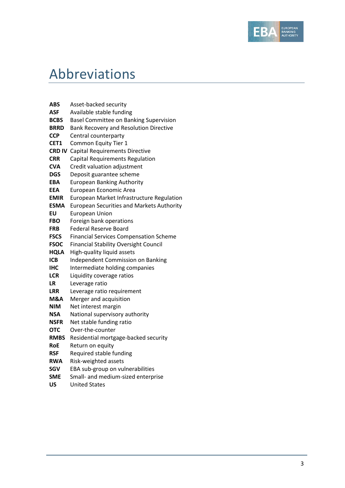

# <span id="page-2-0"></span>Abbreviations

| ABS           | Asset-backed security                            |
|---------------|--------------------------------------------------|
| ASF           | Available stable funding                         |
| <b>BCBS</b>   | Basel Committee on Banking Supervision           |
| <b>BRRD</b>   | Bank Recovery and Resolution Directive           |
| <b>CCP</b>    | Central counterparty                             |
| CET1          | Common Equity Tier 1                             |
| <b>CRD IV</b> | <b>Capital Requirements Directive</b>            |
| <b>CRR</b>    | <b>Capital Requirements Regulation</b>           |
| <b>CVA</b>    | Credit valuation adjustment                      |
| DGS           | Deposit guarantee scheme                         |
| <b>EBA</b>    | <b>European Banking Authority</b>                |
| <b>EEA</b>    | European Economic Area                           |
| <b>EMIR</b>   | European Market Infrastructure Regulation        |
| <b>ESMA</b>   | <b>European Securities and Markets Authority</b> |
| ΕU            | <b>European Union</b>                            |
| <b>FBO</b>    | Foreign bank operations                          |
| <b>FRB</b>    | <b>Federal Reserve Board</b>                     |
| <b>FSCS</b>   | <b>Financial Services Compensation Scheme</b>    |
| <b>FSOC</b>   | <b>Financial Stability Oversight Council</b>     |
| <b>HQLA</b>   | High-quality liquid assets                       |
| <b>ICB</b>    | Independent Commission on Banking                |
| IHC           | Intermediate holding companies                   |
| <b>LCR</b>    | Liquidity coverage ratios                        |
| LR            | Leverage ratio                                   |
| <b>LRR</b>    | Leverage ratio requirement                       |
| M&A           | Merger and acquisition                           |
| NIM           | Net interest margin                              |
| NSA           | National supervisory authority                   |
| <b>NSFR</b>   | Net stable funding ratio                         |
| <b>OTC</b>    | Over-the-counter                                 |
| <b>RMBS</b>   | Residential mortgage-backed security             |
| <b>RoE</b>    | Return on equity                                 |
| <b>RSF</b>    | Required stable funding                          |
| <b>RWA</b>    | Risk-weighted assets                             |
| SGV           | EBA sub-group on vulnerabilities                 |
| <b>SME</b>    | Small- and medium-sized enterprise               |
| บร            | <b>United States</b>                             |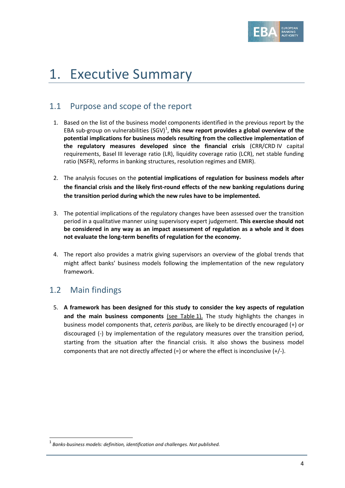

# 1. Executive Summary

## <span id="page-3-0"></span>1.1 Purpose and scope of the report

- 1. Based on the list of the business model components identified in the previous report by the EBA sub-group on vulnerabilities  $(SGV)^1$  $(SGV)^1$ , this new report provides a global overview of the **potential implications for business models resulting from the collective implementation of the regulatory measures developed since the financial crisis** (CRR/CRD IV capital requirements, Basel III leverage ratio (LR), liquidity coverage ratio (LCR), net stable funding ratio (NSFR), reforms in banking structures, resolution regimes and EMIR).
- 2. The analysis focuses on the **potential implications of regulation for business models after the financial crisis and the likely first-round effects of the new banking regulations during the transition period during which the new rules have to be implemented.**
- 3. The potential implications of the regulatory changes have been assessed over the transition period in a qualitative manner using supervisory expert judgement. **This exercise should not be considered in any way as an impact assessment of regulation as a whole and it does not evaluate the long-term benefits of regulation for the economy.**
- 4. The report also provides a matrix giving supervisors an overview of the global trends that might affect banks' business models following the implementation of the new regulatory framework.

## <span id="page-3-1"></span>1.2 Main findings

 $\overline{a}$ 

5. **A framework has been designed for this study to consider the key aspects of regulation and the main business components** (see Table 1). The study highlights the changes in business model components that, *ceteris paribus,* are likely to be directly encouraged (+) or discouraged (-) by implementation of the regulatory measures over the transition period, starting from the situation after the financial crisis*.* It also shows the business model components that are not directly affected (=) or where the effect is inconclusive (+/-).

<span id="page-3-2"></span><sup>1</sup> *Banks-business models: definition, identification and challenges. Not published.*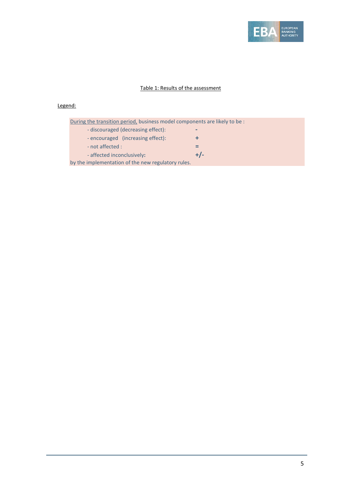

#### Table 1: Results of the assessment

#### Legend:

| During the transition period, business model components are likely to be : |       |
|----------------------------------------------------------------------------|-------|
| - discouraged (decreasing effect):                                         | -     |
| - encouraged (increasing effect):                                          | ÷     |
| - not affected :                                                           |       |
| - affected inconclusively:                                                 | $+/-$ |
| by the implementation of the new regulatory rules.                         |       |
|                                                                            |       |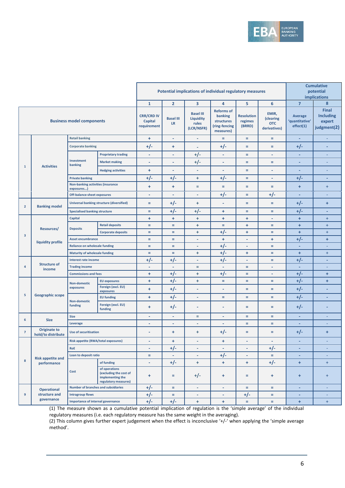

|                |                                           |                                                        |                                                                                     | Potential implications of individual regulatory measures |                                                      | <b>Cumulative</b><br>potential<br>implications                           |                                        |                                                  |                                        |                                                           |                          |
|----------------|-------------------------------------------|--------------------------------------------------------|-------------------------------------------------------------------------------------|----------------------------------------------------------|------------------------------------------------------|--------------------------------------------------------------------------|----------------------------------------|--------------------------------------------------|----------------------------------------|-----------------------------------------------------------|--------------------------|
|                |                                           |                                                        |                                                                                     | $\mathbf{1}$                                             | $\overline{2}$                                       | 3                                                                        | 4                                      | 5                                                | 6                                      | $\overline{7}$                                            | 8                        |
|                |                                           | <b>Business model components</b>                       | <b>CRR/CRD IV</b><br>Capital<br>requirement                                         | <b>Basel III</b><br><b>LR</b>                            | <b>Basel III</b><br>Liquidity<br>rules<br>(LCR/NSFR) | <b>Reforms of</b><br>banking<br>structures<br>(ring-fencing<br>measures) | <b>Resolution</b><br>regimes<br>(BRRD) | EMIR,<br>(clearing<br><b>OTC</b><br>derivatives) | Average<br>'quantitative'<br>effect(1) | <b>Final</b><br><b>Including</b><br>expert<br>judgment(2) |                          |
|                |                                           | <b>Retail banking</b>                                  |                                                                                     | $\ddot{}$                                                | ٠                                                    | $\overline{\phantom{a}}$                                                 | $\equiv$                               | $\equiv$                                         | $\equiv$                               | ٠                                                         | $\overline{\phantom{a}}$ |
|                |                                           | <b>Corporate banking</b>                               |                                                                                     | $+/-$                                                    | ÷                                                    | ٠                                                                        | $+/-$                                  | $=$                                              | Ξ                                      | $+/-$                                                     | ٠                        |
|                |                                           |                                                        | <b>Proprietary trading</b>                                                          | ٠                                                        | ٠                                                    | $+/-$                                                                    | ٠                                      | $=$                                              | ٠                                      | $\overline{\phantom{a}}$                                  | ٠                        |
|                |                                           | Investment<br>banking                                  | <b>Market making</b>                                                                | ٠                                                        | ٠                                                    | $+/-$                                                                    | ٠                                      | $=$                                              | Ξ                                      | ٠                                                         |                          |
| $\mathbf{1}$   | <b>Activities</b>                         |                                                        | <b>Hedging activities</b>                                                           | ÷                                                        | ÷                                                    | $\overline{\phantom{a}}$                                                 | ٠                                      | Ξ                                                | ٠                                      | ÷                                                         | $\overline{\phantom{a}}$ |
|                |                                           | <b>Private banking</b>                                 |                                                                                     | $+/-$                                                    | $+/-$                                                | ÷                                                                        | $+/-$                                  | $=$                                              | ٠                                      | $+/-$                                                     | ٠                        |
|                |                                           | <b>Non-banking activities (insurance</b><br>exposures) |                                                                                     | ÷                                                        | ÷                                                    | $=$                                                                      | $=$                                    | $\equiv$                                         | Ξ                                      | $\ddot{}$                                                 | $\ddot{}$                |
|                |                                           | <b>Off-balance-sheet exposures</b>                     |                                                                                     | ٠                                                        | $\overline{\phantom{a}}$                             | $\overline{\phantom{a}}$                                                 | $+/-$                                  | $\equiv$                                         | $+/-$                                  | ٠                                                         | ÷                        |
| $\overline{2}$ | <b>Banking model</b>                      |                                                        | <b>Universal banking structure (diversified)</b>                                    | $=$                                                      | $+/-$                                                | ÷                                                                        | ٠                                      | $=$                                              | Ξ                                      | $+/-$                                                     | ÷                        |
|                |                                           | <b>Specialised banking structure</b>                   |                                                                                     | $\equiv$                                                 | $+/-$                                                | $+/-$                                                                    | $\ddot{}$                              | $=$                                              | $=$                                    | $+/-$                                                     | ٠                        |
|                |                                           | <b>Capital</b>                                         |                                                                                     | ÷                                                        | $\ddot{}$                                            | ÷                                                                        | ÷                                      | ÷                                                | ٠                                      | $\ddot{}$                                                 | $\ddot{}$                |
|                | Resources/<br>liquidity profile           | <b>Deposits</b>                                        | <b>Retail deposits</b>                                                              | $\equiv$                                                 | $=$                                                  | ÷                                                                        | $\equiv$                               | ÷                                                | Ξ                                      | $\ddot{}$                                                 | $\ddot{}$                |
| $\mathbf{3}$   |                                           |                                                        | <b>Corporate deposits</b>                                                           | $\equiv$                                                 | $=$                                                  | ÷                                                                        | $+/-$                                  | ÷                                                | Ξ                                      | $\ddot{}$                                                 | $\ddot{}$                |
|                |                                           | <b>Asset encumbrance</b>                               |                                                                                     | $\equiv$                                                 | $=$                                                  | $\overline{\phantom{a}}$                                                 | $\ddot{}$                              | ٠                                                | ÷                                      | $+/-$                                                     | $\ddot{}$                |
|                |                                           | <b>Reliance on wholesale funding</b>                   |                                                                                     | $\equiv$                                                 | $=$                                                  | $\overline{\phantom{a}}$                                                 | $+/-$                                  | ٠                                                | Ξ                                      | ٠                                                         | ۰                        |
|                |                                           | <b>Maturity of wholesale funding</b>                   |                                                                                     | $\equiv$                                                 | $=$                                                  | ÷                                                                        | $+/-$                                  | ÷                                                | Ξ                                      | $\ddot{}$                                                 | $\ddot{}$                |
|                | <b>Structure of</b>                       | <b>Interest rate income</b>                            |                                                                                     | $+/-$                                                    | $+/-$                                                | $\overline{\phantom{a}}$                                                 | $+/-$                                  | ٠                                                | $=$                                    | $+/-$                                                     | ٠                        |
| 4              | income                                    | <b>Trading income</b>                                  |                                                                                     | ٠                                                        | ٠                                                    | $=$                                                                      | ٠                                      | $=$                                              | ٠                                      | ٠                                                         | ۰                        |
|                |                                           | <b>Commissions and fees</b>                            |                                                                                     | ÷                                                        | $+/-$                                                | ÷                                                                        | $+/-$                                  | $=$                                              | ٠                                      | $+/-$                                                     | $\ddot{}$                |
|                |                                           | <b>Non-domestic</b><br>exposures                       | <b>EU exposures</b><br>Foreign (excl. EU)                                           | ÷<br>÷                                                   | $+/-$<br>$+/-$                                       | ÷<br>٠                                                                   | $\equiv$<br>÷                          | $=$<br>$=$                                       | $=$<br>Ξ                               | $+/-$<br>$+/-$                                            | $\ddot{}$<br>٠           |
| 5              | <b>Geographic scope</b>                   |                                                        | exposures                                                                           |                                                          |                                                      |                                                                          |                                        |                                                  |                                        |                                                           |                          |
|                |                                           | <b>Non-domestic</b><br>funding                         | <b>EU funding</b><br>Foreign (excl. EU)                                             | $\ddot{}$<br>÷                                           | $+/-$<br>$+/-$                                       | ٠<br>٠                                                                   | $=$<br>٠                               | $=$<br>Ξ                                         | $=$<br>Ξ                               | $+/-$<br>$+/-$                                            | ٠<br>٠                   |
|                |                                           | <b>Size</b>                                            | funding                                                                             |                                                          |                                                      | $=$                                                                      |                                        | $=$                                              | ÷,                                     |                                                           | ÷                        |
| 6              | <b>Size</b>                               | Leverage                                               |                                                                                     | ä,<br>÷                                                  | ÷,<br>÷                                              | $\overline{\phantom{a}}$                                                 | ٠<br>٠                                 | Ξ                                                | ÷                                      | ٠<br>٠                                                    | $\overline{\phantom{a}}$ |
| $\overline{7}$ | <b>Originate to</b><br>hold/to distribute | <b>Use of securitisation</b>                           |                                                                                     | ۰                                                        | ÷                                                    | ÷                                                                        | $+/-$                                  | Ξ                                                | Ξ                                      | $+/-$                                                     | $\ddot{}$                |
|                |                                           | Risk appetite (RWA/total exposures)                    |                                                                                     |                                                          | ÷                                                    |                                                                          | $\ddot{}$                              |                                                  |                                        |                                                           |                          |
|                |                                           | <b>RoE</b>                                             |                                                                                     | ٠                                                        | $+/-$                                                | $\overline{\phantom{a}}$                                                 | ä,                                     | ٠                                                | $+/-$                                  | ٠                                                         |                          |
|                |                                           | Loan to deposit ratio                                  |                                                                                     | $\equiv$                                                 | $\sim$                                               | $\overline{\phantom{a}}$                                                 | $+/-$                                  | ٠                                                | $\equiv$                               | ÷                                                         | ÷                        |
| $\bf8$         | <b>Risk appetite and</b><br>performance   |                                                        | of funding                                                                          | ٠                                                        | $+/-$                                                | ÷.                                                                       | $+$                                    | $+$                                              | $+/-$                                  | $\ddot{}$                                                 | $+$                      |
|                |                                           | Cost                                                   | of operations<br>(excluding the cost of<br>implementing the<br>regulatory measures) | $\ddot{}$                                                | $=$                                                  | $+/-$                                                                    | ÷                                      | $\equiv$                                         | ÷                                      | $+$                                                       | $+$                      |
|                | <b>Operational</b>                        | <b>Number of branches and subsidiaries</b>             |                                                                                     | $+/-$                                                    | $\equiv$                                             | $\overline{\phantom{a}}$                                                 | ٠                                      | $\equiv$                                         | $\equiv$                               | ÷                                                         | ÷.                       |
| 9              | structure and                             | <b>Intragroup flows</b>                                |                                                                                     | $+/-$                                                    | $=$                                                  | $\overline{\phantom{a}}$                                                 | ٠                                      | $+/-$                                            | $\equiv$                               | ٠                                                         | ÷                        |
|                | governance                                | <b>Importance of internal governance</b>               |                                                                                     | $+/-$                                                    | $+/-$                                                | $+$                                                                      | $\ddot{}$                              | $\equiv$                                         | $\equiv$                               | $+$                                                       | $+$                      |

(1) The measure shown as a cumulative potential implication of regulation is the 'simple average' of the individual regulatory measures (i.e. each regulatory measure has the same weight in the averaging).

(2) This column gives further expert judgement when the effect is inconclusive '+/-' when applying the 'simple average method'.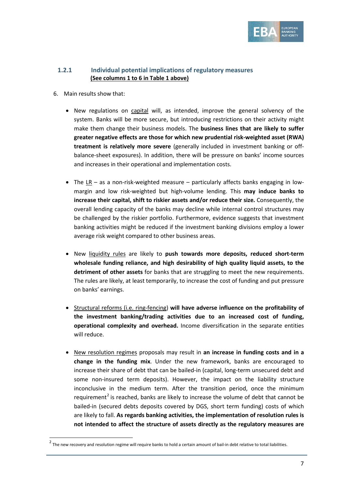

### <span id="page-6-0"></span>**1.2.1 Individual potential implications of regulatory measures (See columns 1 to 6 in Table 1 above)**

6. Main results show that:

 $\overline{a}$ 

- New regulations on capital will, as intended, improve the general solvency of the system. Banks will be more secure, but introducing restrictions on their activity might make them change their business models. The **business lines that are likely to suffer greater negative effects are those for which new prudential risk-weighted asset (RWA) treatment is relatively more severe** (generally included in investment banking or offbalance-sheet exposures). In addition, there will be pressure on banks' income sources and increases in their operational and implementation costs.
- The LR as a non-risk-weighted measure particularly affects banks engaging in lowmargin and low risk-weighted but high-volume lending. This **may induce banks to increase their capital, shift to riskier assets and/or reduce their size.** Consequently, the overall lending capacity of the banks may decline while internal control structures may be challenged by the riskier portfolio. Furthermore, evidence suggests that investment banking activities might be reduced if the investment banking divisions employ a lower average risk weight compared to other business areas.
- New liquidity rules are likely to **push towards more deposits, reduced short-term wholesale funding reliance, and high desirability of high quality liquid assets, to the detriment of other assets** for banks that are struggling to meet the new requirements. The rules are likely, at least temporarily, to increase the cost of funding and put pressure on banks' earnings.
- Structural reforms (i.e. ring-fencing) **will have adverse influence on the profitability of the investment banking/trading activities due to an increased cost of funding, operational complexity and overhead.** Income diversification in the separate entities will reduce.
- New resolution regimes proposals may result in **an increase in funding costs and in a change in the funding mix**. Under the new framework, banks are encouraged to increase their share of debt that can be bailed-in (capital, long-term unsecured debt and some non-insured term deposits). However, the impact on the liability structure inconclusive in the medium term. After the transition period, once the minimum requirement<sup>[2](#page-6-1)</sup> is reached, banks are likely to increase the volume of debt that cannot be bailed-in (secured debts deposits covered by DGS, short term funding) costs of which are likely to fall. **As regards banking activities, the implementation of resolution rules is not intended to affect the structure of assets directly as the regulatory measures are**

<span id="page-6-1"></span> $^2$  The new recovery and resolution regime will require banks to hold a certain amount of bail-in debt relative to total liabilities.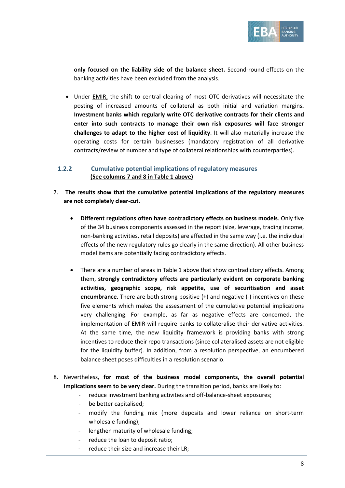

**only focused on the liability side of the balance sheet.** Second-round effects on the banking activities have been excluded from the analysis.

• Under **EMIR**, the shift to central clearing of most OTC derivatives will necessitate the posting of increased amounts of collateral as both initial and variation margins**. Investment banks which regularly write OTC derivative contracts for their clients and enter into such contracts to manage their own risk exposures will face stronger challenges to adapt to the higher cost of liquidity**. It will also materially increase the operating costs for certain businesses (mandatory registration of all derivative contracts/review of number and type of collateral relationships with counterparties).

### <span id="page-7-0"></span>**1.2.2 Cumulative potential implications of regulatory measures (See columns 7 and 8 in Table 1 above)**

- 7. **The results show that the cumulative potential implications of the regulatory measures are not completely clear-cut.** 
	- **Different regulations often have contradictory effects on business models**. Only five of the 34 business components assessed in the report (size, leverage, trading income, non-banking activities, retail deposits) are affected in the same way (i.e. the individual effects of the new regulatory rules go clearly in the same direction). All other business model items are potentially facing contradictory effects.
	- There are a number of areas in Table 1 above that show contradictory effects. Among them, **strongly contradictory effects are particularly evident on corporate banking activities, geographic scope, risk appetite, use of securitisation and asset encumbrance**. There are both strong positive (+) and negative (-) incentives on these five elements which makes the assessment of the cumulative potential implications very challenging. For example, as far as negative effects are concerned, the implementation of EMIR will require banks to collateralise their derivative activities. At the same time, the new liquidity framework is providing banks with strong incentives to reduce their repo transactions (since collateralised assets are not eligible for the liquidity buffer). In addition, from a resolution perspective, an encumbered balance sheet poses difficulties in a resolution scenario.
- 8. Nevertheless, **for most of the business model components, the overall potential implications seem to be very clear.** During the transition period, banks are likely to:
	- reduce investment banking activities and off-balance-sheet exposures;
	- be better capitalised;
	- modify the funding mix (more deposits and lower reliance on short-term wholesale funding);
	- lengthen maturity of wholesale funding;
	- reduce the loan to deposit ratio;
	- reduce their size and increase their LR;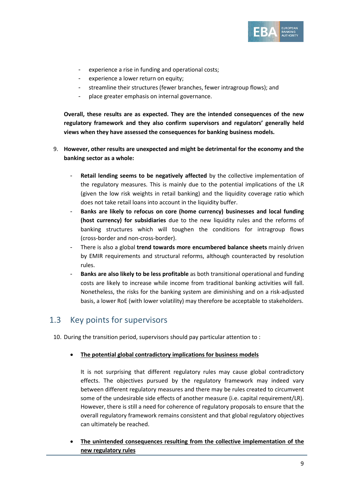

- experience a rise in funding and operational costs;
- experience a lower return on equity;
- streamline their structures (fewer branches, fewer intragroup flows); and
- place greater emphasis on internal governance.

**Overall, these results are as expected. They are the intended consequences of the new regulatory framework and they also confirm supervisors and regulators' generally held views when they have assessed the consequences for banking business models.**

- 9. **However, other results are unexpected and might be detrimental for the economy and the banking sector as a whole:**
	- **Retail lending seems to be negatively affected** by the collective implementation of the regulatory measures. This is mainly due to the potential implications of the LR (given the low risk weights in retail banking) and the liquidity coverage ratio which does not take retail loans into account in the liquidity buffer.
	- **Banks are likely to refocus on core (home currency) businesses and local funding (host currency) for subsidiaries** due to the new liquidity rules and the reforms of banking structures which will toughen the conditions for intragroup flows (cross-border and non-cross-border).
	- There is also a global **trend towards more encumbered balance sheets** mainly driven by EMIR requirements and structural reforms, although counteracted by resolution rules.
	- **Banks are also likely to be less profitable** as both transitional operational and funding costs are likely to increase while income from traditional banking activities will fall. Nonetheless, the risks for the banking system are diminishing and on a risk-adjusted basis, a lower RoE (with lower volatility) may therefore be acceptable to stakeholders.

## <span id="page-8-0"></span>1.3 Key points for supervisors

10. During the transition period, supervisors should pay particular attention to :

• **The potential global contradictory implications for business models**

It is not surprising that different regulatory rules may cause global contradictory effects. The objectives pursued by the regulatory framework may indeed vary between different regulatory measures and there may be rules created to circumvent some of the undesirable side effects of another measure (i.e. capital requirement/LR). However, there is still a need for coherence of regulatory proposals to ensure that the overall regulatory framework remains consistent and that global regulatory objectives can ultimately be reached.

• **The unintended consequences resulting from the collective implementation of the new regulatory rules**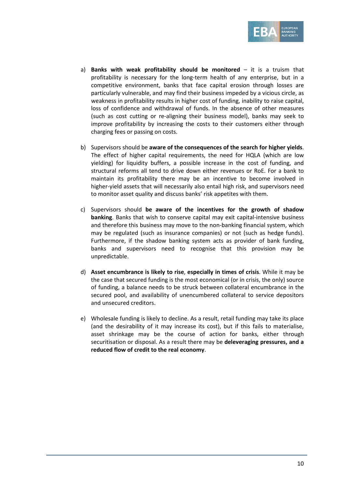

- a) **Banks with weak profitability should be monitored** it is a truism that profitability is necessary for the long-term health of any enterprise, but in a competitive environment, banks that face capital erosion through losses are particularly vulnerable, and may find their business impeded by a vicious circle, as weakness in profitability results in higher cost of funding, inability to raise capital, loss of confidence and withdrawal of funds. In the absence of other measures (such as cost cutting or re-aligning their business model), banks may seek to improve profitability by increasing the costs to their customers either through charging fees or passing on costs.
- b) Supervisors should be **aware of the consequences of the search for higher yields**. The effect of higher capital requirements, the need for HQLA (which are low yielding) for liquidity buffers, a possible increase in the cost of funding, and structural reforms all tend to drive down either revenues or RoE. For a bank to maintain its profitability there may be an incentive to become involved in higher-yield assets that will necessarily also entail high risk, and supervisors need to monitor asset quality and discuss banks' risk appetites with them.
- c) Supervisors should **be aware of the incentives for the growth of shadow banking**. Banks that wish to conserve capital may exit capital-intensive business and therefore this business may move to the non-banking financial system, which may be regulated (such as insurance companies) or not (such as hedge funds). Furthermore, if the shadow banking system acts as provider of bank funding, banks and supervisors need to recognise that this provision may be unpredictable.
- d) **Asset encumbrance is likely to rise**, **especially in times of crisis**. While it may be the case that secured funding is the most economical (or in crisis, the only) source of funding, a balance needs to be struck between collateral encumbrance in the secured pool, and availability of unencumbered collateral to service depositors and unsecured creditors.
- e) Wholesale funding is likely to decline. As a result, retail funding may take its place (and the desirability of it may increase its cost), but if this fails to materialise, asset shrinkage may be the course of action for banks, either through securitisation or disposal. As a result there may be **deleveraging pressures, and a reduced flow of credit to the real economy**.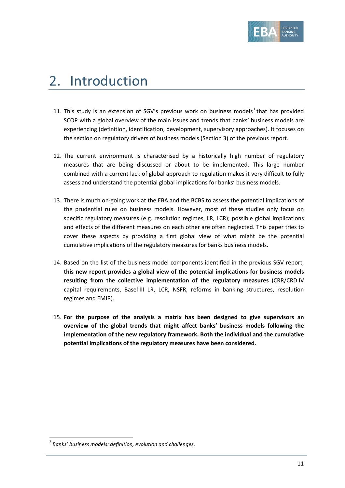

# <span id="page-10-0"></span>2. Introduction

- 11. This study is an extension of SGV's previous work on business models<sup>[3](#page-10-1)</sup> that has provided SCOP with a global overview of the main issues and trends that banks' business models are experiencing (definition, identification, development, supervisory approaches). It focuses on the section on regulatory drivers of business models (Section 3) of the previous report.
- 12. The current environment is characterised by a historically high number of regulatory measures that are being discussed or about to be implemented. This large number combined with a current lack of global approach to regulation makes it very difficult to fully assess and understand the potential global implications for banks' business models.
- 13. There is much on-going work at the EBA and the BCBS to assess the potential implications of the prudential rules on business models. However, most of these studies only focus on specific regulatory measures (e.g. resolution regimes, LR, LCR); possible global implications and effects of the different measures on each other are often neglected. This paper tries to cover these aspects by providing a first global view of what might be the potential cumulative implications of the regulatory measures for banks business models.
- 14. Based on the list of the business model components identified in the previous SGV report, **this new report provides a global view of the potential implications for business models resulting from the collective implementation of the regulatory measures** (CRR/CRD IV capital requirements, Basel III LR, LCR, NSFR, reforms in banking structures, resolution regimes and EMIR).
- 15. **For the purpose of the analysis a matrix has been designed to give supervisors an overview of the global trends that might affect banks' business models following the implementation of the new regulatory framework. Both the individual and the cumulative potential implications of the regulatory measures have been considered.**

 $\overline{a}$ 

<span id="page-10-1"></span><sup>3</sup> *Banks' business models: definition, evolution and challenges*.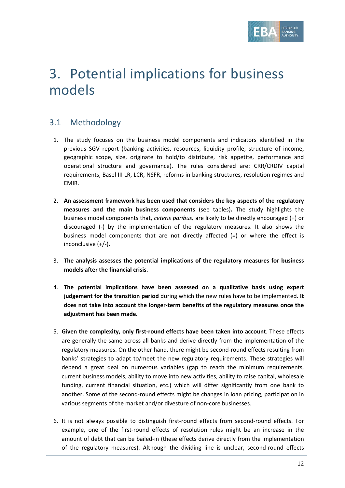

# <span id="page-11-0"></span>3. Potential implications for business models

## <span id="page-11-1"></span>3.1 Methodology

- 1. The study focuses on the business model components and indicators identified in the previous SGV report (banking activities, resources, liquidity profile, structure of income, geographic scope, size, originate to hold/to distribute, risk appetite, performance and operational structure and governance). The rules considered are: CRR/CRDIV capital requirements, Basel III LR, LCR, NSFR, reforms in banking structures, resolution regimes and EMIR.
- 2. **An assessment framework has been used that considers the key aspects of the regulatory measures and the main business components** (see tables)**.** The study highlights the business model components that, *ceteris paribus,* are likely to be directly encouraged (+) or discouraged (-) by the implementation of the regulatory measures. It also shows the business model components that are not directly affected (=) or where the effect is inconclusive (+/-).
- 3. **The analysis assesses the potential implications of the regulatory measures for business models after the financial crisis**.
- 4. **The potential implications have been assessed on a qualitative basis using expert judgement for the transition period** during which the new rules have to be implemented. **It does not take into account the longer-term benefits of the regulatory measures once the adjustment has been made.**
- 5. **Given the complexity, only first-round effects have been taken into account**. These effects are generally the same across all banks and derive directly from the implementation of the regulatory measures. On the other hand, there might be second-round effects resulting from banks' strategies to adapt to/meet the new regulatory requirements. These strategies will depend a great deal on numerous variables (gap to reach the minimum requirements, current business models, ability to move into new activities, ability to raise capital, wholesale funding, current financial situation, etc.) which will differ significantly from one bank to another. Some of the second-round effects might be changes in loan pricing, participation in various segments of the market and/or divesture of non-core businesses.
- 6. It is not always possible to distinguish first-round effects from second-round effects. For example, one of the first-round effects of resolution rules might be an increase in the amount of debt that can be bailed-in (these effects derive directly from the implementation of the regulatory measures). Although the dividing line is unclear, second-round effects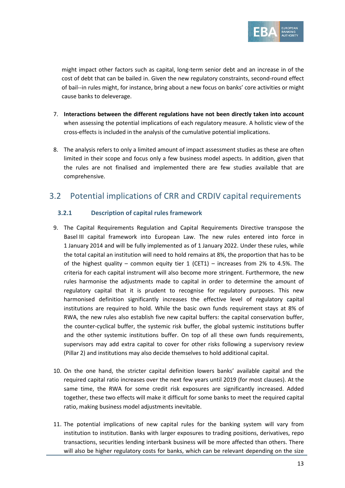

might impact other factors such as capital, long-term senior debt and an increase in of the cost of debt that can be bailed in. Given the new regulatory constraints, second-round effect of bail--in rules might, for instance, bring about a new focus on banks' core activities or might cause banks to deleverage.

- 7. **Interactions between the different regulations have not been directly taken into account**  when assessing the potential implications of each regulatory measure. A holistic view of the cross-effects is included in the analysis of the cumulative potential implications.
- 8. The analysis refers to only a limited amount of impact assessment studies as these are often limited in their scope and focus only a few business model aspects. In addition, given that the rules are not finalised and implemented there are few studies available that are comprehensive.

## <span id="page-12-0"></span>3.2 Potential implications of CRR and CRDIV capital requirements

## <span id="page-12-1"></span>**3.2.1 Description of capital rules framework**

- 9. The Capital Requirements Regulation and Capital Requirements Directive transpose the Basel III capital framework into European Law. The new rules entered into force in 1 January 2014 and will be fully implemented as of 1 January 2022. Under these rules, while the total capital an institution will need to hold remains at 8%, the proportion that has to be of the highest quality – common equity tier  $1$  (CET1) – increases from 2% to 4.5%. The criteria for each capital instrument will also become more stringent. Furthermore, the new rules harmonise the adjustments made to capital in order to determine the amount of regulatory capital that it is prudent to recognise for regulatory purposes. This new harmonised definition significantly increases the effective level of regulatory capital institutions are required to hold. While the basic own funds requirement stays at 8% of RWA, the new rules also establish five new capital buffers: the capital conservation buffer, the counter-cyclical buffer, the systemic risk buffer, the global systemic institutions buffer and the other systemic institutions buffer. On top of all these own funds requirements, supervisors may add extra capital to cover for other risks following a supervisory review (Pillar 2) and institutions may also decide themselves to hold additional capital.
- 10. On the one hand, the stricter capital definition lowers banks' available capital and the required capital ratio increases over the next few years until 2019 (for most clauses). At the same time, the RWA for some credit risk exposures are significantly increased. Added together, these two effects will make it difficult for some banks to meet the required capital ratio, making business model adjustments inevitable.
- 11. The potential implications of new capital rules for the banking system will vary from institution to institution. Banks with larger exposures to trading positions, derivatives, repo transactions, securities lending interbank business will be more affected than others. There will also be higher regulatory costs for banks, which can be relevant depending on the size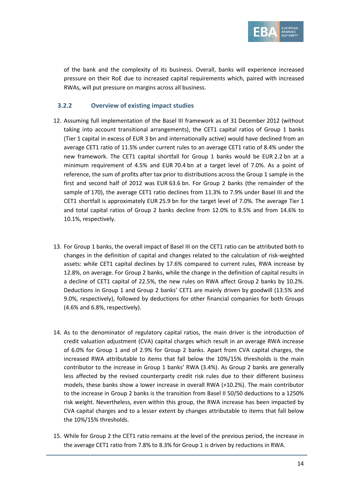

of the bank and the complexity of its business. Overall, banks will experience increased pressure on their RoE due to increased capital requirements which, paired with increased RWAs, will put pressure on margins across all business.

#### <span id="page-13-0"></span>**3.2.2 Overview of existing impact studies**

- 12. Assuming full implementation of the Basel III framework as of 31 December 2012 (without taking into account transitional arrangements), the CET1 capital ratios of Group 1 banks (Tier 1 capital in excess of EUR 3 bn and internationally active) would have declined from an average CET1 ratio of 11.5% under current rules to an average CET1 ratio of 8.4% under the new framework. The CET1 capital shortfall for Group 1 banks would be EUR 2.2 bn at a minimum requirement of 4.5% and EUR 70.4 bn at a target level of 7.0%. As a point of reference, the sum of profits after tax prior to distributions across the Group 1 sample in the first and second half of 2012 was EUR 63.6 bn. For Group 2 banks (the remainder of the sample of 170), the average CET1 ratio declines from 11.3% to 7.9% under Basel III and the CET1 shortfall is approximately EUR 25.9 bn for the target level of 7.0%. The average Tier 1 and total capital ratios of Group 2 banks decline from 12.0% to 8.5% and from 14.6% to 10.1%, respectively.
- 13. For Group 1 banks, the overall impact of Basel III on the CET1 ratio can be attributed both to changes in the definition of capital and changes related to the calculation of risk-weighted assets: while CET1 capital declines by 17.6% compared to current rules, RWA increase by 12.8%, on average. For Group 2 banks, while the change in the definition of capital results in a decline of CET1 capital of 22.5%, the new rules on RWA affect Group 2 banks by 10.2%. Deductions in Group 1 and Group 2 banks' CET1 are mainly driven by goodwill (13.5% and 9.0%, respectively), followed by deductions for other financial companies for both Groups (4.6% and 6.8%, respectively).
- 14. As to the denominator of regulatory capital ratios, the main driver is the introduction of credit valuation adjustment (CVA) capital charges which result in an average RWA increase of 6.0% for Group 1 and of 2.9% for Group 2 banks. Apart from CVA capital charges, the increased RWA attributable to items that fall below the 10%/15% thresholds is the main contributor to the increase in Group 1 banks' RWA (3.4%). As Group 2 banks are generally less affected by the revised counterparty credit risk rules due to their different business models, these banks show a lower increase in overall RWA (+10.2%). The main contributor to the increase in Group 2 banks is the transition from Basel II 50/50 deductions to a 1250% risk weight. Nevertheless, even within this group, the RWA increase has been impacted by CVA capital charges and to a lesser extent by changes attributable to items that fall below the 10%/15% thresholds.
- 15. While for Group 2 the CET1 ratio remains at the level of the previous period, the increase in the average CET1 ratio from 7.8% to 8.3% for Group 1 is driven by reductions in RWA.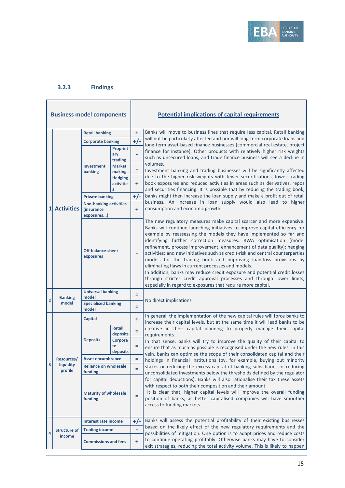

## <span id="page-14-0"></span>**3.2.3 Findings**

| <b>Business model components</b> |                         |                                                           |                                   |       | <b>Potential implications of capital requirements</b>                                                                                                                                                                                                                                                                                                                                                                                                                                                                                                                                                                                                                                                                                                                                                     |  |
|----------------------------------|-------------------------|-----------------------------------------------------------|-----------------------------------|-------|-----------------------------------------------------------------------------------------------------------------------------------------------------------------------------------------------------------------------------------------------------------------------------------------------------------------------------------------------------------------------------------------------------------------------------------------------------------------------------------------------------------------------------------------------------------------------------------------------------------------------------------------------------------------------------------------------------------------------------------------------------------------------------------------------------------|--|
|                                  |                         | <b>Retail banking</b>                                     |                                   | ÷     | Banks will move to business lines that require less capital. Retail banking                                                                                                                                                                                                                                                                                                                                                                                                                                                                                                                                                                                                                                                                                                                               |  |
|                                  |                         | <b>Corporate banking</b>                                  |                                   | $+/-$ | will not be particularly affected and nor will long-term corporate loans and<br>long-term asset-based finance businesses (commercial real estate, project                                                                                                                                                                                                                                                                                                                                                                                                                                                                                                                                                                                                                                                 |  |
|                                  |                         |                                                           | <b>Propriet</b><br>ary<br>trading | ÷     | finance for instance). Other products with relatively higher risk weights<br>such as unsecured loans, and trade finance business will see a decline in<br>volumes.                                                                                                                                                                                                                                                                                                                                                                                                                                                                                                                                                                                                                                        |  |
|                                  |                         | <b>Investment</b><br>banking                              | <b>Market</b><br>making           | ۰     | Investment banking and trading businesses will be significantly affected                                                                                                                                                                                                                                                                                                                                                                                                                                                                                                                                                                                                                                                                                                                                  |  |
|                                  |                         |                                                           | <b>Hedging</b><br>activitie<br>s  | ÷.    | due to the higher risk weights with fewer securitisations, lower trading<br>book exposures and reduced activities in areas such as derivatives, repos<br>and securities financing. It is possible that by reducing the trading book,                                                                                                                                                                                                                                                                                                                                                                                                                                                                                                                                                                      |  |
|                                  |                         | <b>Private banking</b>                                    |                                   | $+/-$ | banks might then increase the loan supply and make a profit out of retail                                                                                                                                                                                                                                                                                                                                                                                                                                                                                                                                                                                                                                                                                                                                 |  |
| 1 <sup>1</sup>                   | <b>Activities</b>       | <b>Non-banking activities</b><br>(insurance<br>exposures) |                                   | ÷     | business. An increase in loan supply would also lead to higher<br>consumption and economic growth.                                                                                                                                                                                                                                                                                                                                                                                                                                                                                                                                                                                                                                                                                                        |  |
|                                  |                         | Off-balance-sheet<br>exposures                            |                                   |       | The new regulatory measures make capital scarcer and more expensive.<br>Banks will continue launching initiatives to improve capital efficiency for<br>example by reassessing the models they have implemented so far and<br>identifying further correction measures: RWA optimisation (model<br>refinement, process improvement, enhancement of data quality); hedging<br>activities; and new initiatives such as credit-risk and central counterparties<br>models for the trading book and improving loan-loss provisions by<br>eliminating flaws in current processes and models.<br>In addition, banks may reduce credit exposure and potential credit losses<br>through stricter credit approval processes and through lower limits,<br>especially in regard to exposures that require more capital. |  |
|                                  |                         | <b>Universal banking</b>                                  |                                   | Ξ     |                                                                                                                                                                                                                                                                                                                                                                                                                                                                                                                                                                                                                                                                                                                                                                                                           |  |
| 2                                | <b>Banking</b><br>model | model<br><b>Specialised banking</b><br>model              |                                   | Ξ     | No direct implications.                                                                                                                                                                                                                                                                                                                                                                                                                                                                                                                                                                                                                                                                                                                                                                                   |  |
|                                  |                         | Capital                                                   |                                   | ÷     | In general, the implementation of the new capital rules will force banks to<br>increase their capital levels, but at the same time it will lead banks to be                                                                                                                                                                                                                                                                                                                                                                                                                                                                                                                                                                                                                                               |  |
|                                  |                         |                                                           | <b>Retail</b>                     | Ξ     | creative in their capital planning to properly manage their capital                                                                                                                                                                                                                                                                                                                                                                                                                                                                                                                                                                                                                                                                                                                                       |  |
|                                  |                         | <b>Deposits</b>                                           | deposits<br>Corpora               |       | requirements.<br>In that sense, banks will try to improve the quality of their capital to                                                                                                                                                                                                                                                                                                                                                                                                                                                                                                                                                                                                                                                                                                                 |  |
|                                  |                         |                                                           | te<br>deposits                    | Ξ     | ensure that as much as possible is recognised under the new rules. In this                                                                                                                                                                                                                                                                                                                                                                                                                                                                                                                                                                                                                                                                                                                                |  |
|                                  |                         | Resources/   Asset encumbrance                            |                                   | Ξ     | vein, banks can optimise the scope of their consolidated capital and their<br>holdings in financial institutions (by, for example, buying out minority                                                                                                                                                                                                                                                                                                                                                                                                                                                                                                                                                                                                                                                    |  |
| 3                                | liquidity               | <b>Reliance on wholesale</b>                              |                                   | Ξ     | stakes or reducing the excess capital of banking subsidiaries or reducing                                                                                                                                                                                                                                                                                                                                                                                                                                                                                                                                                                                                                                                                                                                                 |  |
|                                  | profile                 | funding                                                   |                                   |       | unconsolidated investments below the thresholds defined by the regulator                                                                                                                                                                                                                                                                                                                                                                                                                                                                                                                                                                                                                                                                                                                                  |  |
|                                  |                         | <b>Maturity of wholesale</b><br>funding                   |                                   | Ξ     | for capital deductions). Banks will also rationalise their tax these assets<br>with respect to both their composition and their amount.<br>It is clear that, higher capital levels will improve the overall funding<br>position of banks, as better capitalised companies will have smoother<br>access to funding markets.                                                                                                                                                                                                                                                                                                                                                                                                                                                                                |  |
|                                  |                         | Interest rate income                                      |                                   | $+/-$ | Banks will assess the potential profitability of their existing businesses                                                                                                                                                                                                                                                                                                                                                                                                                                                                                                                                                                                                                                                                                                                                |  |
|                                  | <b>Structure of</b>     | <b>Trading income</b>                                     |                                   | ÷,    | based on the likely effect of the new regulatory requirements and the                                                                                                                                                                                                                                                                                                                                                                                                                                                                                                                                                                                                                                                                                                                                     |  |
| 4                                | income                  | <b>Commissions and fees</b>                               |                                   | ÷     | possibilities of mitigation. One option is to adapt prices and reduce costs<br>to continue operating profitably. Otherwise banks may have to consider<br>exit strategies, reducing the total activity volume. This is likely to happen                                                                                                                                                                                                                                                                                                                                                                                                                                                                                                                                                                    |  |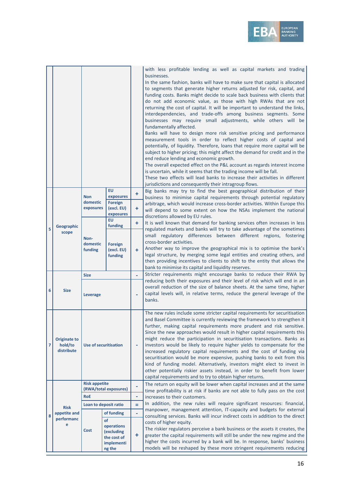

|   |                                              |                                     |                                                                           |             | with less profitable lending as well as capital markets and trading<br>businesses.<br>In the same fashion, banks will have to make sure that capital is allocated<br>to segments that generate higher returns adjusted for risk, capital, and<br>funding costs. Banks might decide to scale back business with clients that<br>do not add economic value, as those with high RWAs that are not<br>returning the cost of capital. It will be important to understand the links,<br>interdependencies, and trade-offs among business segments. Some<br>businesses may require small adjustments, while others will be<br>fundamentally affected.<br>Banks will have to design more risk sensitive pricing and performance<br>measurement tools in order to reflect higher costs of capital and<br>potentially, of liquidity. Therefore, loans that require more capital will be<br>subject to higher pricing; this might affect the demand for credit and in the<br>end reduce lending and economic growth.<br>The overall expected effect on the P&L account as regards interest income<br>is uncertain, while it seems that the trading income will be fall.<br>These two effects will lead banks to increase their activities in different<br>jurisdictions and consequently their intragroup flows. |
|---|----------------------------------------------|-------------------------------------|---------------------------------------------------------------------------|-------------|-------------------------------------------------------------------------------------------------------------------------------------------------------------------------------------------------------------------------------------------------------------------------------------------------------------------------------------------------------------------------------------------------------------------------------------------------------------------------------------------------------------------------------------------------------------------------------------------------------------------------------------------------------------------------------------------------------------------------------------------------------------------------------------------------------------------------------------------------------------------------------------------------------------------------------------------------------------------------------------------------------------------------------------------------------------------------------------------------------------------------------------------------------------------------------------------------------------------------------------------------------------------------------------------------------|
|   |                                              | <b>Non</b><br>domestic<br>exposures | <b>EU</b><br>exposures<br>Foreign<br>(excl. EU)<br>exposures<br><b>EU</b> | ÷<br>÷<br>÷ | Big banks may try to find the best geographical distribution of their<br>business to minimise capital requirements through potential regulatory<br>arbitrage, which would increase cross-border activities. Within Europe this<br>will depend to some extent on how the NSAs implement the national<br>discretions allowed by EU rules.<br>It is well known that demand for banking services often increases in less                                                                                                                                                                                                                                                                                                                                                                                                                                                                                                                                                                                                                                                                                                                                                                                                                                                                                  |
| 5 | Geographic<br>scope                          | Non-<br>domestic<br>funding         | funding<br>Foreign<br>(excl. EU)<br>funding                               | $\ddot{}$   | regulated markets and banks will try to take advantage of the sometimes<br>small regulatory differences between different regions, fostering<br>cross-border activities.<br>Another way to improve the geographical mix is to optimise the bank's<br>legal structure, by merging some legal entities and creating others, and<br>then providing incentives to clients to shift to the entity that allows the<br>bank to minimise its capital and liquidity reserves.                                                                                                                                                                                                                                                                                                                                                                                                                                                                                                                                                                                                                                                                                                                                                                                                                                  |
|   |                                              | <b>Size</b>                         |                                                                           |             | Stricter requirements might encourage banks to reduce their RWA by                                                                                                                                                                                                                                                                                                                                                                                                                                                                                                                                                                                                                                                                                                                                                                                                                                                                                                                                                                                                                                                                                                                                                                                                                                    |
| 6 | <b>Size</b>                                  | <b>Leverage</b>                     |                                                                           |             | reducing both their exposures and their level of risk which will end in an<br>overall reduction of the size of balance sheets. At the same time, higher<br>capital levels will, in relative terms, reduce the general leverage of the<br>banks.                                                                                                                                                                                                                                                                                                                                                                                                                                                                                                                                                                                                                                                                                                                                                                                                                                                                                                                                                                                                                                                       |
| 7 | <b>Originate to</b><br>hold/to<br>distribute | <b>Use of securitisation</b>        |                                                                           |             | The new rules include some stricter capital requirements for securitisation<br>and Basel Committee is currently reviewing the framework to strengthen it<br>further, making capital requirements more prudent and risk sensitive.<br>Since the new approaches would result in higher capital requirements this<br>might reduce the participation in securitisation transactions. Banks as<br>investors would be likely to require higher yields to compensate for the<br>increased regulatory capital requirements and the cost of funding via<br>securitisation would be more expensive, pushing banks to exit from this<br>kind of funding model. Alternatively, investors might elect to invest in<br>other potentially riskier assets instead, in order to benefit from lower<br>capital requirements and to try to obtain higher returns.                                                                                                                                                                                                                                                                                                                                                                                                                                                        |
|   |                                              | <b>Risk appetite</b>                |                                                                           | ÷           | The return on equity will be lower when capital increases and at the same                                                                                                                                                                                                                                                                                                                                                                                                                                                                                                                                                                                                                                                                                                                                                                                                                                                                                                                                                                                                                                                                                                                                                                                                                             |
|   |                                              | <b>RoE</b>                          | (RWA/total exposures)                                                     | ÷,          | time profitability is at risk if banks are not able to fully pass on the cost<br>increases to their customers.                                                                                                                                                                                                                                                                                                                                                                                                                                                                                                                                                                                                                                                                                                                                                                                                                                                                                                                                                                                                                                                                                                                                                                                        |
|   |                                              |                                     | Loan to deposit ratio                                                     | Ξ           | In addition, the new rules will require significant resources: financial,                                                                                                                                                                                                                                                                                                                                                                                                                                                                                                                                                                                                                                                                                                                                                                                                                                                                                                                                                                                                                                                                                                                                                                                                                             |
|   | <b>Risk</b><br>appetite and                  |                                     | of funding                                                                | ÷,          | manpower, management attention, IT-capacity and budgets for external                                                                                                                                                                                                                                                                                                                                                                                                                                                                                                                                                                                                                                                                                                                                                                                                                                                                                                                                                                                                                                                                                                                                                                                                                                  |
| 8 | performanc<br>e                              | Cost                                | of<br>operations<br>(excluding<br>the cost of<br>implementi<br>ng the     | ÷           | consulting services. Banks will incur indirect costs in addition to the direct<br>costs of higher equity.<br>The riskier regulators perceive a bank business or the assets it creates, the<br>greater the capital requirements will still be under the new regime and the<br>higher the costs incurred by a bank will be. In response, banks' business<br>models will be reshaped by these more stringent requirements reducing                                                                                                                                                                                                                                                                                                                                                                                                                                                                                                                                                                                                                                                                                                                                                                                                                                                                       |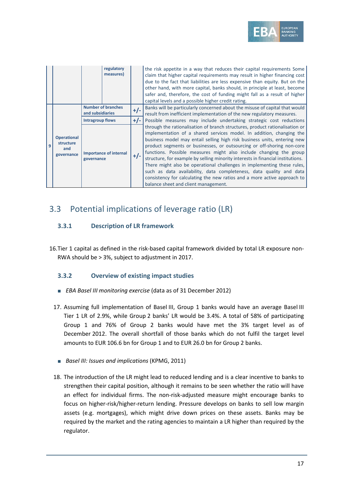

|   |                                                      | regulatory<br>measures)                       |       | the risk appetite in a way that reduces their capital requirements Some<br>claim that higher capital requirements may result in higher financing cost<br>due to the fact that liabilities are less expensive than equity. But on the<br>other hand, with more capital, banks should, in principle at least, become<br>safer and, therefore, the cost of funding might fall as a result of higher<br>capital levels and a possible higher credit rating.                                                                                                                                                                                                                                                                                   |
|---|------------------------------------------------------|-----------------------------------------------|-------|-------------------------------------------------------------------------------------------------------------------------------------------------------------------------------------------------------------------------------------------------------------------------------------------------------------------------------------------------------------------------------------------------------------------------------------------------------------------------------------------------------------------------------------------------------------------------------------------------------------------------------------------------------------------------------------------------------------------------------------------|
| 9 |                                                      | <b>Number of branches</b><br>and subsidiaries | $+/-$ | Banks will be particularly concerned about the misuse of capital that would<br>result from inefficient implementation of the new regulatory measures.                                                                                                                                                                                                                                                                                                                                                                                                                                                                                                                                                                                     |
|   |                                                      | <b>Intragroup flows</b>                       | $+/-$ | Possible measures may include undertaking strategic cost reductions                                                                                                                                                                                                                                                                                                                                                                                                                                                                                                                                                                                                                                                                       |
|   | <b>Operational</b><br>structure<br>and<br>governance | <b>Importance of internal</b><br>governance   | $+/-$ | through the rationalisation of branch structures, product rationalisation or<br>implementation of a shared services model. In addition, changing the<br>business model may entail selling high risk business units, entering new<br>product segments or businesses, or outsourcing or off-shoring non-core<br>functions. Possible measures might also include changing the group<br>structure, for example by selling minority interests in financial institutions.<br>There might also be operational challenges in implementing these rules,<br>such as data availability, data completeness, data quality and data<br>consistency for calculating the new ratios and a more active approach to<br>balance sheet and client management. |

## <span id="page-16-0"></span>3.3 Potential implications of leverage ratio (LR)

## <span id="page-16-1"></span>**3.3.1 Description of LR framework**

16.Tier 1 capital as defined in the risk-based capital framework divided by total LR exposure non-RWA should be > 3%, subject to adjustment in 2017.

### <span id="page-16-2"></span>**3.3.2 Overview of existing impact studies**

- *EBA Basel III monitoring exercise* (data as of 31 December 2012)
- 17. Assuming full implementation of Basel III, Group 1 banks would have an average Basel III Tier 1 LR of 2.9%, while Group 2 banks' LR would be 3.4%. A total of 58% of participating Group 1 and 76% of Group 2 banks would have met the 3% target level as of December 2012. The overall shortfall of those banks which do not fulfil the target level amounts to EUR 106.6 bn for Group 1 and to EUR 26.0 bn for Group 2 banks.
	- *Basel III: Issues and implications* (KPMG, 2011)
- 18. The introduction of the LR might lead to reduced lending and is a clear incentive to banks to strengthen their capital position, although it remains to be seen whether the ratio will have an effect for individual firms. The non-risk-adjusted measure might encourage banks to focus on higher-risk/higher-return lending. Pressure develops on banks to sell low margin assets (e.g. mortgages), which might drive down prices on these assets. Banks may be required by the market and the rating agencies to maintain a LR higher than required by the regulator.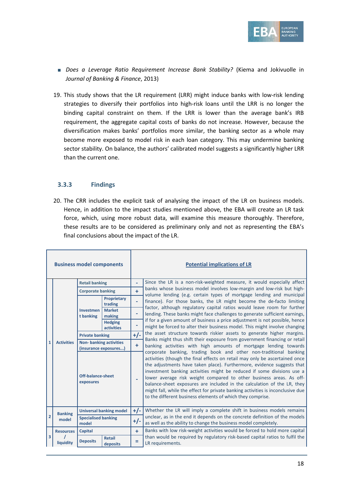

- *Does a Leverage Ratio Requirement Increase Bank Stability?* (Kiema and Jokivuolle in *Journal of Banking & Finance*, 2013)
- 19. This study shows that the LR requirement (LRR) might induce banks with low-risk lending strategies to diversify their portfolios into high-risk loans until the LRR is no longer the binding capital constraint on them. If the LRR is lower than the average bank's IRB requirement, the aggregate capital costs of banks do not increase. However, because the diversification makes banks' portfolios more similar, the banking sector as a whole may become more exposed to model risk in each loan category. This may undermine banking sector stability. On balance, the authors' calibrated model suggests a significantly higher LRR than the current one.

#### <span id="page-17-0"></span>**3.3.3 Findings**

20. The CRR includes the explicit task of analysing the impact of the LR on business models. Hence, in addition to the impact studies mentioned above, the EBA will create an LR task force, which, using more robust data, will examine this measure thoroughly. Therefore, these results are to be considered as preliminary only and not as representing the EBA's final conclusions about the impact of the LR.

| <b>Business model components</b> |                   |                                                        |                                |                          | <b>Potential implications of LR</b>                                                                                                                                                                                                                                                                                                                                                                                                                                                                                                                                                                     |
|----------------------------------|-------------------|--------------------------------------------------------|--------------------------------|--------------------------|---------------------------------------------------------------------------------------------------------------------------------------------------------------------------------------------------------------------------------------------------------------------------------------------------------------------------------------------------------------------------------------------------------------------------------------------------------------------------------------------------------------------------------------------------------------------------------------------------------|
|                                  |                   | <b>Retail banking</b>                                  |                                | ÷,                       | Since the LR is a non-risk-weighted measure, it would especially affect                                                                                                                                                                                                                                                                                                                                                                                                                                                                                                                                 |
|                                  |                   | <b>Corporate banking</b>                               |                                | ÷                        | banks whose business model involves low-margin and low-risk but high-<br>volume lending (e.g. certain types of mortgage lending and municipal                                                                                                                                                                                                                                                                                                                                                                                                                                                           |
|                                  |                   |                                                        | <b>Proprietary</b><br>trading  | $\overline{\phantom{a}}$ | finance). For those banks, the LR might become the de-facto limiting<br>factor, although regulatory capital ratios would leave room for further                                                                                                                                                                                                                                                                                                                                                                                                                                                         |
|                                  | <b>Activities</b> | Investmen<br>t banking                                 | <b>Market</b><br>making        | ۰                        | lending. These banks might face challenges to generate sufficient earnings,                                                                                                                                                                                                                                                                                                                                                                                                                                                                                                                             |
|                                  |                   |                                                        | <b>Hedging</b><br>activities   | ۰                        | if for a given amount of business a price adjustment is not possible, hence<br>might be forced to alter their business model. This might involve changing                                                                                                                                                                                                                                                                                                                                                                                                                                               |
|                                  |                   | <b>Private banking</b>                                 |                                | $+/-$                    | the asset structure towards riskier assets to generate higher margins.<br>Banks might thus shift their exposure from government financing or retail                                                                                                                                                                                                                                                                                                                                                                                                                                                     |
| $\mathbf{1}$                     |                   | <b>Non-banking activities</b><br>(insurance exposures) |                                | ÷                        | banking activities with high amounts of mortgage lending towards                                                                                                                                                                                                                                                                                                                                                                                                                                                                                                                                        |
|                                  |                   | <b>Off-balance-sheet</b><br>exposures                  |                                | $\overline{\phantom{a}}$ | corporate banking, trading book and other non-traditional banking<br>activities (though the final effects on retail may only be ascertained once<br>the adjustments have taken place). Furthermore, evidence suggests that<br>investment banking activities might be reduced if some divisions use a<br>lower average risk weight compared to other business areas. As off-<br>balance-sheet exposures are included in the calculation of the LR, they<br>might fall, while the effect for private banking activities is inconclusive due<br>to the different business elements of which they comprise. |
|                                  | <b>Banking</b>    |                                                        | <b>Universal banking model</b> | $+/-$                    | Whether the LR will imply a complete shift in business models remains                                                                                                                                                                                                                                                                                                                                                                                                                                                                                                                                   |
| $\overline{2}$                   | model             | model                                                  | <b>Specialised banking</b>     |                          | unclear, as in the end it depends on the concrete definition of the models<br>as well as the ability to change the business model completely.                                                                                                                                                                                                                                                                                                                                                                                                                                                           |
|                                  | <b>Resources</b>  | <b>Capital</b>                                         |                                | ÷                        | Banks with low risk-weight activities would be forced to hold more capital                                                                                                                                                                                                                                                                                                                                                                                                                                                                                                                              |
| 3                                | liquidity         | <b>Deposits</b>                                        | <b>Retail</b><br>deposits      | Ξ                        | than would be required by regulatory risk-based capital ratios to fulfil the<br>LR requirements.                                                                                                                                                                                                                                                                                                                                                                                                                                                                                                        |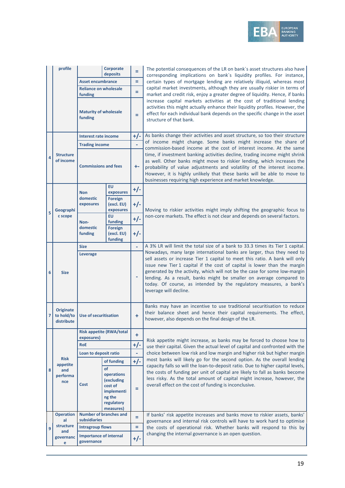

|   | profile                                      |                                                          | <b>Corporate</b><br>deposits           | Ξ                                                                                                                                                                                                                                                                                                                                                                                                                                                                                     | The potential consequences of the LR on bank's asset structures also have<br>corresponding implications on bank's liquidity profiles. For instance,                                                                                                                                                                                                                                                                                               |  |  |  |
|---|----------------------------------------------|----------------------------------------------------------|----------------------------------------|---------------------------------------------------------------------------------------------------------------------------------------------------------------------------------------------------------------------------------------------------------------------------------------------------------------------------------------------------------------------------------------------------------------------------------------------------------------------------------------|---------------------------------------------------------------------------------------------------------------------------------------------------------------------------------------------------------------------------------------------------------------------------------------------------------------------------------------------------------------------------------------------------------------------------------------------------|--|--|--|
|   |                                              | <b>Asset encumbrance</b><br><b>Reliance on wholesale</b> |                                        | Ξ                                                                                                                                                                                                                                                                                                                                                                                                                                                                                     | certain types of mortgage lending are relatively illiquid, whereas most                                                                                                                                                                                                                                                                                                                                                                           |  |  |  |
|   |                                              |                                                          |                                        | Ξ                                                                                                                                                                                                                                                                                                                                                                                                                                                                                     | capital market investments, although they are usually riskier in terms of                                                                                                                                                                                                                                                                                                                                                                         |  |  |  |
|   |                                              | funding                                                  |                                        |                                                                                                                                                                                                                                                                                                                                                                                                                                                                                       | market and credit risk, enjoy a greater degree of liquidity. Hence, if banks                                                                                                                                                                                                                                                                                                                                                                      |  |  |  |
|   |                                              | <b>Maturity of wholesale</b><br>funding                  |                                        | Ξ                                                                                                                                                                                                                                                                                                                                                                                                                                                                                     | increase capital markets activities at the cost of traditional lending<br>activities this might actually enhance their liquidity profiles. However, the<br>effect for each individual bank depends on the specific change in the asset<br>structure of that bank.                                                                                                                                                                                 |  |  |  |
|   |                                              | <b>Interest rate income</b>                              |                                        | $+/-$                                                                                                                                                                                                                                                                                                                                                                                                                                                                                 | As banks change their activities and asset structure, so too their structure                                                                                                                                                                                                                                                                                                                                                                      |  |  |  |
|   |                                              | <b>Trading income</b>                                    |                                        |                                                                                                                                                                                                                                                                                                                                                                                                                                                                                       | of income might change. Some banks might increase the share of                                                                                                                                                                                                                                                                                                                                                                                    |  |  |  |
| 4 | <b>Structure</b><br>of income                | <b>Commissions and fees</b>                              |                                        | +-                                                                                                                                                                                                                                                                                                                                                                                                                                                                                    | commission-based income at the cost of interest income. At the same<br>time, if investment banking activities decline, trading income might shrink<br>as well. Other banks might move to riskier lending, which increases the<br>probability of value adjustments and volatility of the interest income.<br>However, it is highly unlikely that these banks will be able to move to<br>businesses requiring high experience and market knowledge. |  |  |  |
|   |                                              |                                                          | <b>EU</b>                              | $+/-$                                                                                                                                                                                                                                                                                                                                                                                                                                                                                 |                                                                                                                                                                                                                                                                                                                                                                                                                                                   |  |  |  |
|   | Geographi<br>c scope                         | <b>Non</b><br>domestic                                   | exposures<br><b>Foreign</b>            |                                                                                                                                                                                                                                                                                                                                                                                                                                                                                       |                                                                                                                                                                                                                                                                                                                                                                                                                                                   |  |  |  |
| 5 |                                              | exposures                                                | (excl. EU)<br>exposures                | $+/-$                                                                                                                                                                                                                                                                                                                                                                                                                                                                                 | Moving to riskier activities might imply shifting the geographic focus to                                                                                                                                                                                                                                                                                                                                                                         |  |  |  |
|   |                                              | Non-                                                     | <b>EU</b><br>funding                   | $+/-$                                                                                                                                                                                                                                                                                                                                                                                                                                                                                 | non-core markets. The effect is not clear and depends on several factors.                                                                                                                                                                                                                                                                                                                                                                         |  |  |  |
|   |                                              | domestic<br>funding                                      | Foreign                                |                                                                                                                                                                                                                                                                                                                                                                                                                                                                                       |                                                                                                                                                                                                                                                                                                                                                                                                                                                   |  |  |  |
|   |                                              |                                                          | (excl. EU)<br>funding                  | $+/-$                                                                                                                                                                                                                                                                                                                                                                                                                                                                                 |                                                                                                                                                                                                                                                                                                                                                                                                                                                   |  |  |  |
|   |                                              | <b>Size</b>                                              |                                        |                                                                                                                                                                                                                                                                                                                                                                                                                                                                                       | A 3% LR will limit the total size of a bank to 33.3 times its Tier 1 capital.                                                                                                                                                                                                                                                                                                                                                                     |  |  |  |
| 6 | <b>Leverage</b><br><b>Size</b>               |                                                          |                                        | Nowadays, many large international banks are larger, thus they need to<br>sell assets or increase Tier 1 capital to meet this ratio. A bank will only<br>issue new Tier 1 capital if the cost of capital is lower than the margin<br>generated by the activity, which will not be the case for some low-margin<br>lending. As a result, banks might be smaller on average compared to<br>today. Of course, as intended by the regulatory measures, a bank's<br>leverage will decline. |                                                                                                                                                                                                                                                                                                                                                                                                                                                   |  |  |  |
| 7 | <b>Originate</b><br>to hold/to<br>distribute | <b>Use of securitisation</b>                             |                                        | ÷                                                                                                                                                                                                                                                                                                                                                                                                                                                                                     | Banks may have an incentive to use traditional securitisation to reduce<br>their balance sheet and hence their capital requirements. The effect,<br>however, also depends on the final design of the LR.                                                                                                                                                                                                                                          |  |  |  |
|   |                                              | <b>Risk appetite (RWA/total</b><br>exposures)            |                                        | ÷                                                                                                                                                                                                                                                                                                                                                                                                                                                                                     |                                                                                                                                                                                                                                                                                                                                                                                                                                                   |  |  |  |
|   |                                              | <b>RoE</b>                                               |                                        | $+/-$                                                                                                                                                                                                                                                                                                                                                                                                                                                                                 | Risk appetite might increase, as banks may be forced to choose how to<br>use their capital. Given the actual level of capital and confronted with the                                                                                                                                                                                                                                                                                             |  |  |  |
|   |                                              | Loan to deposit ratio                                    |                                        | ÷                                                                                                                                                                                                                                                                                                                                                                                                                                                                                     | choice between low risk and low margin and higher risk but higher margin                                                                                                                                                                                                                                                                                                                                                                          |  |  |  |
|   | <b>Risk</b>                                  |                                                          | of funding                             | $+/-$                                                                                                                                                                                                                                                                                                                                                                                                                                                                                 | most banks will likely go for the second option. As the overall lending                                                                                                                                                                                                                                                                                                                                                                           |  |  |  |
| 8 | appetite<br>and                              |                                                          | of                                     |                                                                                                                                                                                                                                                                                                                                                                                                                                                                                       | capacity falls so will the loan-to-deposit ratio. Due to higher capital levels,<br>the costs of funding per unit of capital are likely to fall as banks become                                                                                                                                                                                                                                                                                    |  |  |  |
|   | performa                                     |                                                          | operations<br>(excluding               |                                                                                                                                                                                                                                                                                                                                                                                                                                                                                       | less risky. As the total amount of capital might increase, however, the                                                                                                                                                                                                                                                                                                                                                                           |  |  |  |
|   | nce                                          | Cost                                                     | cost of                                | Ξ                                                                                                                                                                                                                                                                                                                                                                                                                                                                                     | overall effect on the cost of funding is inconclusive.                                                                                                                                                                                                                                                                                                                                                                                            |  |  |  |
|   |                                              |                                                          | implementi<br>ng the                   |                                                                                                                                                                                                                                                                                                                                                                                                                                                                                       |                                                                                                                                                                                                                                                                                                                                                                                                                                                   |  |  |  |
|   |                                              |                                                          | regulatory                             |                                                                                                                                                                                                                                                                                                                                                                                                                                                                                       |                                                                                                                                                                                                                                                                                                                                                                                                                                                   |  |  |  |
|   |                                              |                                                          | measures)                              |                                                                                                                                                                                                                                                                                                                                                                                                                                                                                       |                                                                                                                                                                                                                                                                                                                                                                                                                                                   |  |  |  |
|   | <b>Operation</b><br>al                       | <b>Number of branches and</b><br>subsidiaries            |                                        | $=$                                                                                                                                                                                                                                                                                                                                                                                                                                                                                   | If banks' risk appetite increases and banks move to riskier assets, banks'<br>governance and internal risk controls will have to work hard to optimise                                                                                                                                                                                                                                                                                            |  |  |  |
| 9 | structure                                    | <b>Intragroup flows</b>                                  |                                        | ÷                                                                                                                                                                                                                                                                                                                                                                                                                                                                                     | the costs of operational risk. Whether banks will respond to this by                                                                                                                                                                                                                                                                                                                                                                              |  |  |  |
|   | and<br>governanc<br>e                        | governance                                               | <b>Importance of internal</b><br>$+/-$ |                                                                                                                                                                                                                                                                                                                                                                                                                                                                                       | changing the internal governance is an open question.                                                                                                                                                                                                                                                                                                                                                                                             |  |  |  |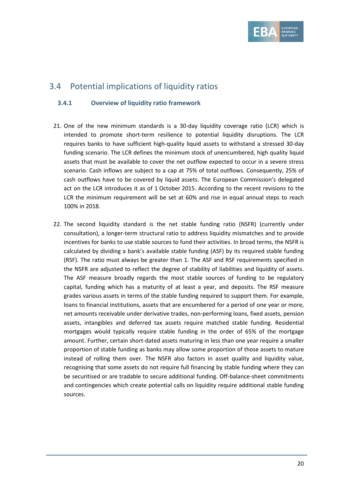

## <span id="page-19-0"></span>3.4 Potential implications of liquidity ratios

### <span id="page-19-1"></span>**3.4.1 Overview of liquidity ratio framework**

- 21. One of the new minimum standards is a 30-day liquidity coverage ratio (LCR) which is intended to promote short-term resilience to potential liquidity disruptions. The LCR requires banks to have sufficient high-quality liquid assets to withstand a stressed 30-day funding scenario. The LCR defines the minimum stock of unencumbered, high quality liquid assets that must be available to cover the net outflow expected to occur in a severe stress scenario. Cash inflows are subject to a cap at 75% of total outflows. Consequently, 25% of cash outflows have to be covered by liquid assets. The European Commission's delegated act on the LCR introduces it as of 1 October 2015. According to the recent revisions to the LCR the minimum requirement will be set at 60% and rise in equal annual steps to reach 100% in 2018.
- 22. The second liquidity standard is the net stable funding ratio (NSFR) (currently under consultation), a longer-term structural ratio to address liquidity mismatches and to provide incentives for banks to use stable sources to fund their activities. In broad terms, the NSFR is calculated by dividing a bank's available stable funding (ASF) by its required stable funding (RSF). The ratio must always be greater than 1. The ASF and RSF requirements specified in the NSFR are adjusted to reflect the degree of stability of liabilities and liquidity of assets. The ASF measure broadly regards the most stable sources of funding to be regulatory capital, funding which has a maturity of at least a year, and deposits. The RSF measure grades various assets in terms of the stable funding required to support them. For example, loans to financial institutions, assets that are encumbered for a period of one year or more, net amounts receivable under derivative trades, non-performing loans, fixed assets, pension assets, intangibles and deferred tax assets require matched stable funding. Residential mortgages would typically require stable funding in the order of 65% of the mortgage amount. Further, certain short-dated assets maturing in less than one year require a smaller proportion of stable funding as banks may allow some proportion of those assets to mature instead of rolling them over. The NSFR also factors in asset quality and liquidity value, recognising that some assets do not require full financing by stable funding where they can be securitised or are tradable to secure additional funding. Off-balance-sheet commitments and contingencies which create potential calls on liquidity require additional stable funding sources.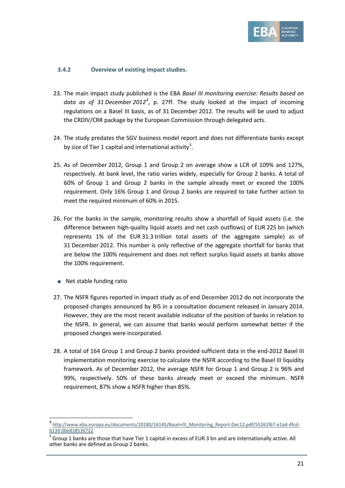

#### <span id="page-20-0"></span>**3.4.2 Overview of existing impact studies.**

- 23. The main impact study published is the EBA *Basel III monitoring exercise: Results based on data as of 31 December 2012[4](#page-20-1)* , p. 27ff. The study looked at the impact of incoming regulations on a Basel III basis, as of 31 December 2012. The results will be used to adjust the CRDIV/CRR package by the European Commission through delegated acts.
- 24. The study predates the SGV business model report and does not differentiate banks except by size of Tier 1 capital and international activity<sup>[5](#page-20-2)</sup>.
- 25. As of December 2012, Group 1 and Group 2 on average show a LCR of 109% and 127%, respectively. At bank level, the ratio varies widely, especially for Group 2 banks. A total of 60% of Group 1 and Group 2 banks in the sample already meet or exceed the 100% requirement. Only 16% Group 1 and Group 2 banks are required to take further action to meet the required minimum of 60% in 2015.
- 26. For the banks in the sample, monitoring results show a shortfall of liquid assets (i.e. the difference between high-quality liquid assets and net cash outflows) of EUR 225 bn (which represents 1% of the EUR 31.3 trillion total assets of the aggregate sample) as of 31 December 2012. This number is only reflective of the aggregate shortfall for banks that are below the 100% requirement and does not reflect surplus liquid assets at banks above the 100% requirement.
	- Net stable funding ratio

 $\overline{a}$ 

- 27. The NSFR figures reported in impact study as of end December 2012 do not incorporate the proposed changes announced by BIS in a consultation document released in January 2014. However, they are the most recent available indicator of the position of banks in relation to the NSFR. In general, we can assume that banks would perform somewhat better if the proposed changes were incorporated.
- 28. A total of 164 Group 1 and Group 2 banks provided sufficient data in the end-2012 Basel III implementation monitoring exercise to calculate the NSFR according to the Basel III liquidity framework. As of December 2012, the average NSFR for Group 1 and Group 2 is 96% and 99%, respectively. 50% of these banks already meet or exceed the minimum. NSFR requirement, 87% show a NSFR higher than 85%.

<span id="page-20-1"></span><sup>4</sup> [http://www.eba.europa.eu/documents/10180/16145/Basel+III\\_Monitoring\\_Report-Dec12.pdf/55261f67-e1ad-4fcd](http://www.eba.europa.eu/documents/10180/16145/Basel+III_Monitoring_Report-Dec12.pdf/55261f67-e1ad-4fcd-b134-0be818530722)[b134-0be818530722](http://www.eba.europa.eu/documents/10180/16145/Basel+III_Monitoring_Report-Dec12.pdf/55261f67-e1ad-4fcd-b134-0be818530722)

<span id="page-20-2"></span> $^5$  Group 1 banks are those that have Tier 1 capital in excess of EUR 3 bn and are internationally active. All other banks are defined as Group 2 banks.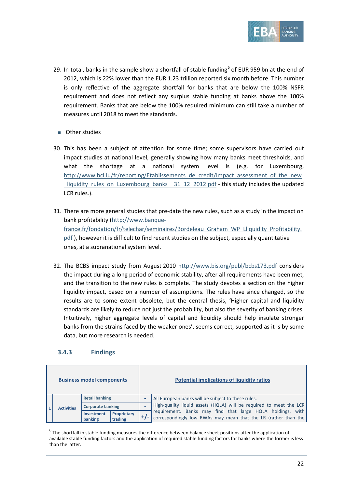

- 29. In total, banks in the sample show a shortfall of stable funding<sup>[6](#page-21-1)</sup> of EUR 959 bn at the end of 2012, which is 22% lower than the EUR 1.23 trillion reported six month before. This number is only reflective of the aggregate shortfall for banks that are below the 100% NSFR requirement and does not reflect any surplus stable funding at banks above the 100% requirement. Banks that are below the 100% required minimum can still take a number of measures until 2018 to meet the standards.
	- Other studies
- 30. This has been a subject of attention for some time; some supervisors have carried out impact studies at national level, generally showing how many banks meet thresholds, and what the shortage at a national system level is (e.g. for Luxembourg, [http://www.bcl.lu/fr/reporting/Etablissements\\_de\\_credit/Impact\\_assessment\\_of\\_the\\_new](http://www.bcl.lu/fr/reporting/Etablissements_de_credit/Impact_assessment_of_the_new_liquidity_rules_on_Luxembourg_banks__31_12_2012.pdf) liquidity rules on Luxembourg banks 31\_12\_2012.pdf - this study includes the updated LCR rules.).
- 31. There are more general studies that pre-date the new rules, such as a study in the impact on bank profitability [\(http://www.banque](http://www.banque-france.fr/fondation/fr/telechar/seminaires/Bordeleau_Graham_WP_Lliquidity_Profitability.pdf)france.fr/fondation/fr/telechar/seminaires/Bordeleau Graham WP Lliquidity Profitability. [pdf](http://www.banque-france.fr/fondation/fr/telechar/seminaires/Bordeleau_Graham_WP_Lliquidity_Profitability.pdf) ), however it is difficult to find recent studies on the subject, especially quantitative ones, at a supranational system level.
- 32. The BCBS impact study from August 2010<http://www.bis.org/publ/bcbs173.pdf> considers the impact during a long period of economic stability, after all requirements have been met, and the transition to the new rules is complete. The study devotes a section on the higher liquidity impact, based on a number of assumptions. The rules have since changed, so the results are to some extent obsolete, but the central thesis, 'Higher capital and liquidity standards are likely to reduce not just the probability, but also the severity of banking crises. Intuitively, higher aggregate levels of capital and liquidity should help insulate stronger banks from the strains faced by the weaker ones', seems correct, supported as it is by some data, but more research is needed.

#### <span id="page-21-0"></span>**3.4.3 Findings**

 $\overline{a}$ 

| <b>Business model components</b> |                   |                              |                        |                          | <b>Potential implications of liquidity ratios</b>                                                                                                                                                  |
|----------------------------------|-------------------|------------------------------|------------------------|--------------------------|----------------------------------------------------------------------------------------------------------------------------------------------------------------------------------------------------|
|                                  | <b>Activities</b> | <b>Retail banking</b>        |                        | $\overline{\phantom{0}}$ | All European banks will be subject to these rules.                                                                                                                                                 |
|                                  |                   | <b>Corporate banking</b>     |                        |                          | High-quality liquid assets (HQLA) will be required to meet the LCR<br>requirement. Banks may find that large HQLA holdings, with<br>correspondingly low RWAs may mean that the LR (rather than the |
|                                  |                   | <b>Investment</b><br>banking | Proprietary<br>trading |                          |                                                                                                                                                                                                    |

<span id="page-21-1"></span> $6$  The shortfall in stable funding measures the difference between balance sheet positions after the application of available stable funding factors and the application of required stable funding factors for banks where the former is less than the latter.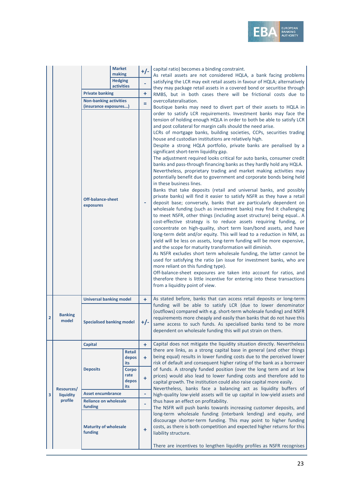

| <b>Off-balance-sheet</b><br>exposures                                                  | Nevertheless, proprietary trading and market making activities may<br>potentially benefit due to government and corporate bonds being held<br>in these business lines.<br>Banks that take deposits (retail and universal banks, and possibly<br>private banks) will find it easier to satisfy NSFR as they have a retail<br>deposit base; conversely, banks that are particularly dependent on<br>wholesale funding (such as investment banks) may find it challenging<br>to meet NSFR, other things (including asset structure) being equal A<br>cost-effective strategy is to reduce assets requiring funding, or<br>concentrate on high-quality, short term loan/bond assets, and have<br>long-term debt and/or equity. This will lead to a reduction in NIM, as<br>yield will be less on assets, long-term funding will be more expensive,<br>and the scope for maturity transformation will diminish.<br>As NSFR excludes short term wholesale funding, the latter cannot be<br>used for satisfying the ratio (an issue for investment banks, who are<br>more reliant on this funding type).<br>Off-balance-sheet exposures are taken into account for ratios, and<br>therefore there is little incentive for entering into these transactions<br>from a liquidity point of view. |
|----------------------------------------------------------------------------------------|----------------------------------------------------------------------------------------------------------------------------------------------------------------------------------------------------------------------------------------------------------------------------------------------------------------------------------------------------------------------------------------------------------------------------------------------------------------------------------------------------------------------------------------------------------------------------------------------------------------------------------------------------------------------------------------------------------------------------------------------------------------------------------------------------------------------------------------------------------------------------------------------------------------------------------------------------------------------------------------------------------------------------------------------------------------------------------------------------------------------------------------------------------------------------------------------------------------------------------------------------------------------------------------|
| <b>Universal banking model</b><br>$\ddot{}$                                            | As stated before, banks that can access retail deposits or long-term                                                                                                                                                                                                                                                                                                                                                                                                                                                                                                                                                                                                                                                                                                                                                                                                                                                                                                                                                                                                                                                                                                                                                                                                                   |
| <b>Banking</b><br>$\overline{2}$<br>model<br><b>Specialised banking model</b><br>$+/-$ | funding will be able to satisfy LCR (due to lower denominator<br>(outflows) compared with e.g. short-term wholesale funding) and NSFR<br>requirements more cheaply and easily than banks that do not have this<br>same access to such funds. As specialised banks tend to be more<br>dependent on wholesale funding this will put strain on them.                                                                                                                                                                                                                                                                                                                                                                                                                                                                                                                                                                                                                                                                                                                                                                                                                                                                                                                                      |
| ÷<br><b>Capital</b>                                                                    | Capital does not mitigate the liquidity situation directly. Nevertheless                                                                                                                                                                                                                                                                                                                                                                                                                                                                                                                                                                                                                                                                                                                                                                                                                                                                                                                                                                                                                                                                                                                                                                                                               |
| <b>Retail</b><br>÷.<br>depos<br>its                                                    | there are links, as a strong capital base in general (and other things<br>being equal) results in lower funding costs due to the perceived lower<br>risk of default and consequent higher rating of the bank as a borrower                                                                                                                                                                                                                                                                                                                                                                                                                                                                                                                                                                                                                                                                                                                                                                                                                                                                                                                                                                                                                                                             |
| <b>Deposits</b><br><b>Corpo</b><br>rate<br>÷<br>depos<br>its                           | of funds. A strongly funded position (over the long term and at low<br>prices) would also lead to lower funding costs and therefore add to<br>capital growth. The institution could also raise capital more easily.                                                                                                                                                                                                                                                                                                                                                                                                                                                                                                                                                                                                                                                                                                                                                                                                                                                                                                                                                                                                                                                                    |
| Resources/<br><b>Asset encumbrance</b><br>3<br>٠<br>liquidity                          | Nevertheless, banks face a balancing act as liquidity buffers of<br>high-quality low-yield assets will tie up capital in low-yield assets and                                                                                                                                                                                                                                                                                                                                                                                                                                                                                                                                                                                                                                                                                                                                                                                                                                                                                                                                                                                                                                                                                                                                          |
| profile<br><b>Reliance on wholesale</b>                                                | thus have an effect on profitability.                                                                                                                                                                                                                                                                                                                                                                                                                                                                                                                                                                                                                                                                                                                                                                                                                                                                                                                                                                                                                                                                                                                                                                                                                                                  |
| ÷.<br>funding                                                                          | The NSFR will push banks towards increasing customer deposits, and                                                                                                                                                                                                                                                                                                                                                                                                                                                                                                                                                                                                                                                                                                                                                                                                                                                                                                                                                                                                                                                                                                                                                                                                                     |
| <b>Maturity of wholesale</b><br>÷<br>funding                                           | long-term wholesale funding (interbank lending) and equity, and<br>discourage shorter-term funding. This may point to higher funding<br>costs, as there is both competition and expected higher returns for this<br>liability structure.<br>There are incentives to lengthen liquidity profiles as NSFR recognises                                                                                                                                                                                                                                                                                                                                                                                                                                                                                                                                                                                                                                                                                                                                                                                                                                                                                                                                                                     |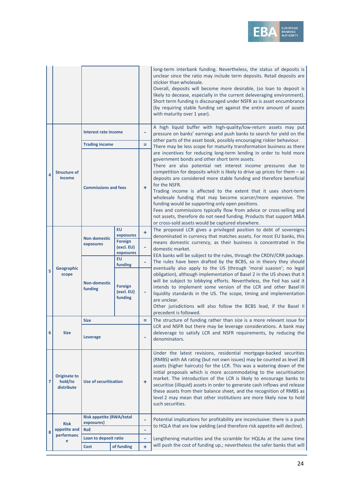

|                |                                              |                                               |                                                                     |           | long-term interbank funding. Nevertheless, the status of deposits is<br>unclear since the ratio may include term deposits. Retail deposits are<br>stickier than wholesale.<br>Overall, deposits will become more desirable, (so loan to deposit is<br>likely to decease, especially in the current deleveraging environment).<br>Short term funding is discouraged under NSFR as is asset encumbrance<br>(by requiring stable funding set against the entire amount of assets<br>with maturity over 1 year).                                                                                                                                                                                                                                                |
|----------------|----------------------------------------------|-----------------------------------------------|---------------------------------------------------------------------|-----------|-------------------------------------------------------------------------------------------------------------------------------------------------------------------------------------------------------------------------------------------------------------------------------------------------------------------------------------------------------------------------------------------------------------------------------------------------------------------------------------------------------------------------------------------------------------------------------------------------------------------------------------------------------------------------------------------------------------------------------------------------------------|
|                |                                              | <b>Interest rate income</b>                   |                                                                     | -         | A high liquid buffer with high-quality/low-return assets may put<br>pressure on banks' earnings and push banks to search for yield on the<br>other parts of the asset book, possibly encouraging riskier behaviour.                                                                                                                                                                                                                                                                                                                                                                                                                                                                                                                                         |
|                |                                              | <b>Trading income</b>                         |                                                                     | Ξ         | There may be less scope for maturity transformation business as there                                                                                                                                                                                                                                                                                                                                                                                                                                                                                                                                                                                                                                                                                       |
| 4              | <b>Structure of</b><br>income                | <b>Commissions and fees</b>                   |                                                                     | ÷         | are incentives for reducing long-term lending in order to hold more<br>government bonds and other short term assets.<br>There are also potential net interest income pressures due to<br>competition for deposits which is likely to drive up prices for them $-$ as<br>deposits are considered more stable funding and therefore beneficial<br>for the NSFR.<br>Trading income is affected to the extent that it uses short-term<br>wholesale funding that may become scarcer/more expensive. The<br>funding would be supporting only open positions.<br>Fees and commissions typically flow from advice or cross-selling and<br>not assets, therefore do not need funding. Products that support M&A<br>or cross-sold assets would be captured elsewhere. |
|                | Geographic<br>scope                          | <b>Non domestic</b><br>exposures              | <b>EU</b><br>exposures<br><b>Foreign</b><br>(excl. EU)<br>exposures | ÷<br>۰    | The proposed LCR gives a privileged position to debt of sovereigns<br>denominated in currency that matches assets. For most EU banks, this<br>means domestic currency, as their business is concentrated in the<br>domestic market.                                                                                                                                                                                                                                                                                                                                                                                                                                                                                                                         |
|                |                                              |                                               | EU<br>funding                                                       | -         | EEA banks will be subject to the rules, through the CRDIV/CRR package.<br>The rules have been drafted by the BCBS, so in theory they should                                                                                                                                                                                                                                                                                                                                                                                                                                                                                                                                                                                                                 |
| 5              |                                              | <b>Non-domestic</b><br>funding                | <b>Foreign</b><br>(excl. EU)<br>funding                             | ۰         | eventually also apply to the US (through 'moral suasion'; no legal<br>obligation), although implementation of Basel 2 in the US shows that it<br>will be subject to lobbying efforts. Nevertheless, the Fed has said it<br>intends to implement some version of the LCR and other Basel III<br>liquidity standards in the US. The scope, timing and implementation<br>are unclear.<br>Other jurisdictions will also follow the BCBS lead, if the Basel II<br>precedent is followed.                                                                                                                                                                                                                                                                         |
|                |                                              | <b>Size</b>                                   |                                                                     | Ξ         | The structure of funding rather than size is a more relevant issue for                                                                                                                                                                                                                                                                                                                                                                                                                                                                                                                                                                                                                                                                                      |
| 6              | <b>Size</b>                                  | Leverage                                      |                                                                     | ۰         | LCR and NSFR but there may be leverage considerations. A bank may<br>deleverage to satisfy LCR and NSFR requirements, by reducing the<br>denominators.                                                                                                                                                                                                                                                                                                                                                                                                                                                                                                                                                                                                      |
| $\overline{7}$ | <b>Originate to</b><br>hold/to<br>distribute | <b>Use of securitisation</b>                  |                                                                     | ÷         | Under the latest revisions, residential mortgage-backed securities<br>(RMBS) with AA rating (but not own issues) may be counted as level 2B<br>assets (higher haircuts) for the LCR. This was a watering down of the<br>initial proposals which is more accommodating to the securitisation<br>market. The introduction of the LCR is likely to encourage banks to<br>securitise (illiquid) assets in order to generate cash inflows and release<br>these assets from their balance sheet, and the recognition of RMBS as<br>level 2 may mean that other institutions are more likely now to hold<br>such securities.                                                                                                                                       |
|                |                                              | <b>Risk appetite (RWA/total</b><br>exposures) |                                                                     | -         | Potential implications for profitability are inconclusive: there is a push                                                                                                                                                                                                                                                                                                                                                                                                                                                                                                                                                                                                                                                                                  |
| 8              | <b>Risk</b><br>appetite and                  | <b>RoE</b>                                    |                                                                     | ۰         | to HQLA that are low yielding (and therefore risk appetite will decline).                                                                                                                                                                                                                                                                                                                                                                                                                                                                                                                                                                                                                                                                                   |
|                | performanc<br>e                              | Loan to deposit ratio                         |                                                                     | ۰         | Lengthening maturities and the scramble for HQLAs at the same time                                                                                                                                                                                                                                                                                                                                                                                                                                                                                                                                                                                                                                                                                          |
|                |                                              | Cost                                          | of funding                                                          | $\ddot{}$ | will push the cost of funding up.; nevertheless the safer banks that will                                                                                                                                                                                                                                                                                                                                                                                                                                                                                                                                                                                                                                                                                   |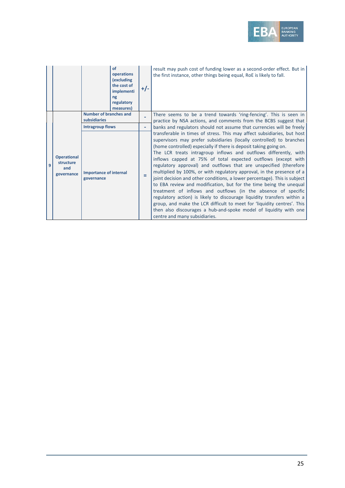

|   |                                                      | of<br>operations<br>(excluding<br>the cost of<br>implementi<br>ng<br>regulatory<br>measures) | $+/-$                        | result may push cost of funding lower as a second-order effect. But in<br>the first instance, other things being equal, RoE is likely to fall.                                                                                                                                                                                                                                                                                                                                                                                                                                                                                                                                                                                                                                                                                                                                                                                                                                          |
|---|------------------------------------------------------|----------------------------------------------------------------------------------------------|------------------------------|-----------------------------------------------------------------------------------------------------------------------------------------------------------------------------------------------------------------------------------------------------------------------------------------------------------------------------------------------------------------------------------------------------------------------------------------------------------------------------------------------------------------------------------------------------------------------------------------------------------------------------------------------------------------------------------------------------------------------------------------------------------------------------------------------------------------------------------------------------------------------------------------------------------------------------------------------------------------------------------------|
|   |                                                      | Number of branches and<br>subsidiaries                                                       |                              | There seems to be a trend towards 'ring-fencing'. This is seen in<br>practice by NSA actions, and comments from the BCBS suggest that                                                                                                                                                                                                                                                                                                                                                                                                                                                                                                                                                                                                                                                                                                                                                                                                                                                   |
|   |                                                      | <b>Intragroup flows</b>                                                                      | $\qquad \qquad \blacksquare$ | banks and regulators should not assume that currencies will be freely                                                                                                                                                                                                                                                                                                                                                                                                                                                                                                                                                                                                                                                                                                                                                                                                                                                                                                                   |
| 9 | <b>Operational</b><br>structure<br>and<br>governance | <b>Importance of internal</b><br>governance                                                  | Ξ                            | transferable in times of stress. This may affect subsidiaries, but host<br>supervisors may prefer subsidiaries (locally controlled) to branches<br>(home controlled) especially if there is deposit taking going on.<br>The LCR treats intragroup inflows and outflows differently, with<br>inflows capped at 75% of total expected outflows (except with<br>regulatory approval) and outflows that are unspecified (therefore<br>multiplied by 100%, or with regulatory approval, in the presence of a<br>joint decision and other conditions, a lower percentage). This is subject<br>to EBA review and modification, but for the time being the unequal<br>treatment of inflows and outflows (in the absence of specific<br>regulatory action) is likely to discourage liquidity transfers within a<br>group, and make the LCR difficult to meet for 'liquidity centres'. This<br>then also discourages a hub-and-spoke model of liquidity with one<br>centre and many subsidiaries. |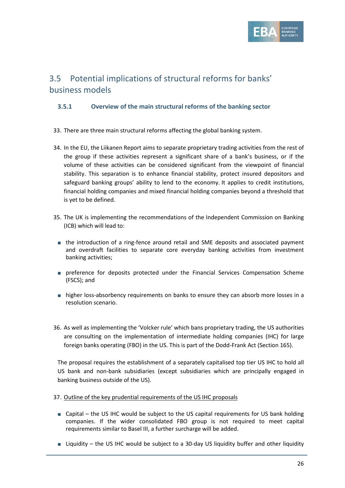

## <span id="page-25-0"></span>3.5 Potential implications of structural reforms for banks' business models

### <span id="page-25-1"></span>**3.5.1 Overview of the main structural reforms of the banking sector**

- 33. There are three main structural reforms affecting the global banking system.
- 34. In the EU, the Liikanen Report aims to separate proprietary trading activities from the rest of the group if these activities represent a significant share of a bank's business, or if the volume of these activities can be considered significant from the viewpoint of financial stability. This separation is to enhance financial stability, protect insured depositors and safeguard banking groups' ability to lend to the economy. It applies to credit institutions, financial holding companies and mixed financial holding companies beyond a threshold that is yet to be defined.
- 35. The UK is implementing the recommendations of the Independent Commission on Banking (ICB) which will lead to:
	- the introduction of a ring-fence around retail and SME deposits and associated payment and overdraft facilities to separate core everyday banking activities from investment banking activities;
	- preference for deposits protected under the Financial Services Compensation Scheme (FSCS); and
	- higher loss-absorbency requirements on banks to ensure they can absorb more losses in a resolution scenario.
- 36. As well as implementing the 'Volcker rule' which bans proprietary trading, the US authorities are consulting on the implementation of intermediate holding companies (IHC) for large foreign banks operating (FBO) in the US. This is part of the Dodd-Frank Act (Section 165).

The proposal requires the establishment of a separately capitalised top tier US IHC to hold all US bank and non-bank subsidiaries (except subsidiaries which are principally engaged in banking business outside of the US).

- 37. Outline of the key prudential requirements of the US IHC proposals
	- Capital the US IHC would be subject to the US capital requirements for US bank holding companies. If the wider consolidated FBO group is not required to meet capital requirements similar to Basel III, a further surcharge will be added.
	- Liquidity the US IHC would be subject to a 30-day US liquidity buffer and other liquidity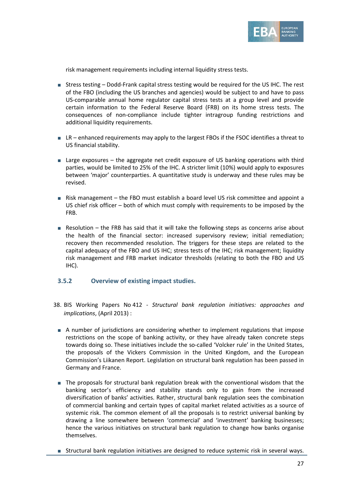

risk management requirements including internal liquidity stress tests.

- Stress testing Dodd-Frank capital stress testing would be required for the US IHC. The rest of the FBO (including the US branches and agencies) would be subject to and have to pass US-comparable annual home regulator capital stress tests at a group level and provide certain information to the Federal Reserve Board (FRB) on its home stress tests. The consequences of non-compliance include tighter intragroup funding restrictions and additional liquidity requirements.
- LR enhanced requirements may apply to the largest FBOs if the FSOC identifies a threat to US financial stability.
- Large exposures the aggregate net credit exposure of US banking operations with third parties, would be limited to 25% of the IHC. A stricter limit (10%) would apply to exposures between 'major' counterparties. A quantitative study is underway and these rules may be revised.
- Risk management the FBO must establish a board level US risk committee and appoint a US chief risk officer – both of which must comply with requirements to be imposed by the FRB.
- Resolution the FRB has said that it will take the following steps as concerns arise about the health of the financial sector: increased supervisory review; initial remediation; recovery then recommended resolution. The triggers for these steps are related to the capital adequacy of the FBO and US IHC; stress tests of the IHC; risk management; liquidity risk management and FRB market indicator thresholds (relating to both the FBO and US IHC).

#### <span id="page-26-0"></span>**3.5.2 Overview of existing impact studies.**

- 38. BIS Working Papers No 412 *Structural bank regulation initiatives: approaches and implications*, (April 2013) :
	- A number of jurisdictions are considering whether to implement regulations that impose restrictions on the scope of banking activity, or they have already taken concrete steps towards doing so. These initiatives include the so-called 'Volcker rule' in the United States, the proposals of the Vickers Commission in the United Kingdom, and the European Commission's Liikanen Report. Legislation on structural bank regulation has been passed in Germany and France.
	- The proposals for structural bank regulation break with the conventional wisdom that the banking sector's efficiency and stability stands only to gain from the increased diversification of banks' activities. Rather, structural bank regulation sees the combination of commercial banking and certain types of capital market related activities as a source of systemic risk. The common element of all the proposals is to restrict universal banking by drawing a line somewhere between 'commercial' and 'investment' banking businesses; hence the various initiatives on structural bank regulation to change how banks organise themselves.
	- Structural bank regulation initiatives are designed to reduce systemic risk in several ways.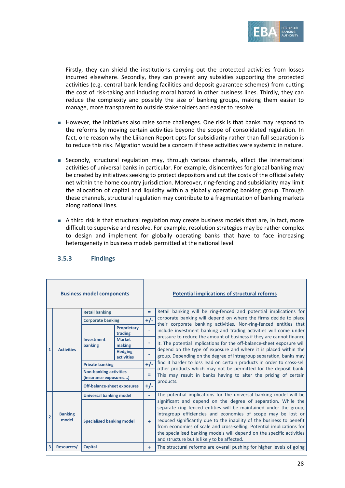

Firstly, they can shield the institutions carrying out the protected activities from losses incurred elsewhere. Secondly, they can prevent any subsidies supporting the protected activities (e.g. central bank lending facilities and deposit guarantee schemes) from cutting the cost of risk-taking and inducing moral hazard in other business lines. Thirdly, they can reduce the complexity and possibly the size of banking groups, making them easier to manage, more transparent to outside stakeholders and easier to resolve.

- However, the initiatives also raise some challenges. One risk is that banks may respond to the reforms by moving certain activities beyond the scope of consolidated regulation. In fact, one reason why the Liikanen Report opts for subsidiarity rather than full separation is to reduce this risk. Migration would be a concern if these activities were systemic in nature.
- Secondly, structural regulation may, through various channels, affect the international activities of universal banks in particular. For example, disincentives for global banking may be created by initiatives seeking to protect depositors and cut the costs of the official safety net within the home country jurisdiction. Moreover, ring-fencing and subsidiarity may limit the allocation of capital and liquidity within a globally operating banking group. Through these channels, structural regulation may contribute to a fragmentation of banking markets along national lines.
- A third risk is that structural regulation may create business models that are, in fact, more difficult to supervise and resolve. For example, resolution strategies may be rather complex to design and implement for globally operating banks that have to face increasing heterogeneity in business models permitted at the national level.

|                | <b>Business model components</b> |                                                        |                                     |       | <b>Potential implications of structural reforms</b>                                                                                                                                                                                                                                                                                                                                                                                                                           |
|----------------|----------------------------------|--------------------------------------------------------|-------------------------------------|-------|-------------------------------------------------------------------------------------------------------------------------------------------------------------------------------------------------------------------------------------------------------------------------------------------------------------------------------------------------------------------------------------------------------------------------------------------------------------------------------|
|                |                                  | <b>Retail banking</b>                                  |                                     | Ξ     | Retail banking will be ring-fenced and potential implications for                                                                                                                                                                                                                                                                                                                                                                                                             |
|                |                                  | <b>Corporate banking</b>                               |                                     | $+/-$ | corporate banking will depend on where the firms decide to place                                                                                                                                                                                                                                                                                                                                                                                                              |
|                | <b>Activities</b>                | Investment<br>banking                                  | Proprietary<br>trading              |       | their corporate banking activities. Non-ring-fenced entities that<br>include investment banking and trading activities will come under<br>pressure to reduce the amount of business if they are cannot finance                                                                                                                                                                                                                                                                |
|                |                                  |                                                        | <b>Market</b><br>making             |       | it. The potential implications for the off-balance-sheet exposure will                                                                                                                                                                                                                                                                                                                                                                                                        |
| 1              |                                  |                                                        | <b>Hedging</b><br><b>activities</b> |       | depend on the type of exposure and where it is placed within the<br>group. Depending on the degree of intragroup separation, banks may                                                                                                                                                                                                                                                                                                                                        |
|                |                                  | <b>Private banking</b>                                 |                                     | $+/-$ | find it harder to loss lead on certain products in order to cross-sell<br>other products which may not be permitted for the deposit bank.<br>This may result in banks having to alter the pricing of certain<br>products.                                                                                                                                                                                                                                                     |
|                |                                  | <b>Non-banking activities</b><br>(insurance exposures) |                                     | Ξ     |                                                                                                                                                                                                                                                                                                                                                                                                                                                                               |
|                |                                  | <b>Off-balance-sheet exposures</b>                     |                                     | $+/-$ |                                                                                                                                                                                                                                                                                                                                                                                                                                                                               |
|                |                                  | <b>Universal banking model</b>                         |                                     |       | The potential implications for the universal banking model will be                                                                                                                                                                                                                                                                                                                                                                                                            |
| $\overline{2}$ | <b>Banking</b><br>model          | <b>Specialised banking model</b>                       |                                     | $+$   | significant and depend on the degree of separation. While the<br>separate ring fenced entities will be maintained under the group,<br>intragroup efficiencies and economies of scope may be lost or<br>reduced significantly due to the inability of the business to benefit<br>from economies of scale and cross-selling. Potential implications for<br>the specialised banking models will depend on the specific activities<br>and structure but is likely to be affected. |
|                | Resources/                       | Capital                                                |                                     | ÷     | The structural reforms are overall pushing for higher levels of going                                                                                                                                                                                                                                                                                                                                                                                                         |

### <span id="page-27-0"></span>**3.5.3 Findings**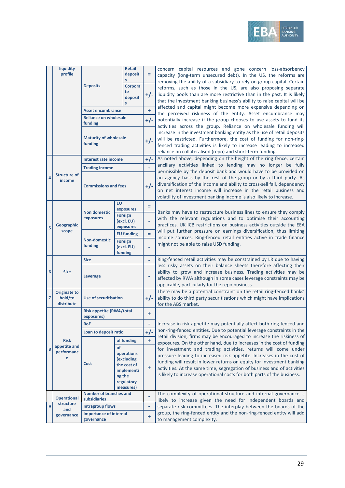

|                | liquidity<br>profile                         |                                               | <b>Retail</b><br>deposit<br>S                                                                    | Ξ         | concern capital resources and gone concern loss-absorbency<br>capacity (long-term unsecured debt). In the US, the reforms are<br>removing the ability of a subsidiary to rely on group capital. Certain                                                                                                                                                                |
|----------------|----------------------------------------------|-----------------------------------------------|--------------------------------------------------------------------------------------------------|-----------|------------------------------------------------------------------------------------------------------------------------------------------------------------------------------------------------------------------------------------------------------------------------------------------------------------------------------------------------------------------------|
|                |                                              | <b>Deposits</b>                               | Corpora<br>te<br>deposit<br>s                                                                    | $+/-$     | reforms, such as those in the US, are also proposing separate<br>liquidity pools than are more restrictive than in the past. It is likely<br>that the investment banking business's ability to raise capital will be                                                                                                                                                   |
|                |                                              | <b>Asset encumbrance</b>                      |                                                                                                  | ÷         | affected and capital might become more expensive depending on                                                                                                                                                                                                                                                                                                          |
|                |                                              | <b>Reliance on wholesale</b>                  |                                                                                                  | $+/-$     | the perceived riskiness of the entity. Asset encumbrance may<br>potentially increase if the group chooses to use assets to fund its                                                                                                                                                                                                                                    |
|                |                                              | funding                                       |                                                                                                  |           | activities across the group. Reliance on wholesale funding will                                                                                                                                                                                                                                                                                                        |
|                |                                              | <b>Maturity of wholesale</b><br>funding       |                                                                                                  | $+/-$     | increase in the investment banking entity as the use of retail deposits<br>will be restricted. Furthermore, the cost of funding for non-ring-<br>fenced trading activities is likely to increase leading to increased<br>reliance on collateralised (repo) and short-term funding.                                                                                     |
|                |                                              | Interest rate income                          |                                                                                                  | $+/-$     | As noted above, depending on the height of the ring fence, certain                                                                                                                                                                                                                                                                                                     |
|                |                                              | <b>Trading income</b>                         |                                                                                                  | ÷,        | ancillary activities linked to lending may no longer be fully                                                                                                                                                                                                                                                                                                          |
| 4              | <b>Structure of</b><br>income                | <b>Commissions and fees</b>                   |                                                                                                  | $+/-$     | permissible by the deposit bank and would have to be provided on<br>an agency basis by the rest of the group or by a third party. As<br>diversification of the income and ability to cross-sell fall, dependency<br>on net interest income will increase in the retail business and<br>volatility of investment banking income is also likely to increase.             |
|                |                                              |                                               | <b>EU</b>                                                                                        | Ξ         |                                                                                                                                                                                                                                                                                                                                                                        |
|                | Geographic<br>scope                          | <b>Non domestic</b><br>exposures              | exposures<br><b>Foreign</b><br>(excl. EU)<br>exposures                                           |           | Banks may have to restructure business lines to ensure they comply<br>with the relevant regulations and to optimise their accounting<br>practices. UK ICB restrictions on business activities outside the EEA                                                                                                                                                          |
| 5              |                                              |                                               | <b>EU funding</b>                                                                                | ÷         | will put further pressure on earnings diversification, thus limiting                                                                                                                                                                                                                                                                                                   |
|                |                                              | <b>Non-domestic</b><br>funding                | <b>Foreign</b><br>(excl. EU)<br>funding                                                          |           | income sources. Ring-fenced retail entities active in trade finance<br>might not be able to raise USD funding.                                                                                                                                                                                                                                                         |
|                |                                              | <b>Size</b>                                   |                                                                                                  | ÷,        | Ring-fenced retail activities may be constrained by LR due to having                                                                                                                                                                                                                                                                                                   |
| 6              | <b>Size</b>                                  | Leverage                                      |                                                                                                  | -         | less risky assets on their balance sheets therefore affecting their<br>ability to grow and increase business. Trading activities may be<br>affected by RWA although in some cases leverage constraints may be<br>applicable, particularly for the repo business.                                                                                                       |
| $\overline{7}$ | <b>Originate to</b><br>hold/to<br>distribute | <b>Use of securitisation</b>                  |                                                                                                  | $+/-$     | There may be a potential constraint on the retail ring-fenced banks'<br>ability to do third party securitisations which might have implications<br>for the ABS market.                                                                                                                                                                                                 |
|                |                                              | <b>Risk appetite (RWA/total</b><br>exposures) |                                                                                                  | ÷         |                                                                                                                                                                                                                                                                                                                                                                        |
|                |                                              | <b>RoE</b>                                    |                                                                                                  |           | Increase in risk appetite may potentially affect both ring-fenced and                                                                                                                                                                                                                                                                                                  |
|                |                                              | Loan to deposit ratio                         |                                                                                                  | $+/-$     | non-ring-fenced entities. Due to potential leverage constraints in the                                                                                                                                                                                                                                                                                                 |
|                | <b>Risk</b>                                  |                                               | of funding                                                                                       | ÷         | retail division, firms may be encouraged to increase the riskiness of<br>exposures. On the other hand, due to increases in the cost of funding                                                                                                                                                                                                                         |
| 8              | appetite and<br>performanc<br>e              | Cost                                          | of<br>operations<br>(excluding<br>the cost of<br>implementi<br>ng the<br>regulatory<br>measures) | $\ddot{}$ | for investment and trading activities, returns will come under<br>pressure leading to increased risk appetite. Increases in the cost of<br>funding will result in lower returns on equity for investment banking<br>activities. At the same time, segregation of business and of activities<br>is likely to increase operational costs for both parts of the business. |
|                | <b>Operational</b>                           | <b>Number of branches and</b><br>subsidiaries |                                                                                                  |           | The complexity of operational structure and internal governance is<br>likely to increase given the need for independent boards and                                                                                                                                                                                                                                     |
| 9              | structure                                    | <b>Intragroup flows</b>                       |                                                                                                  | -         | separate risk committees. The interplay between the boards of the                                                                                                                                                                                                                                                                                                      |
|                | and<br>governance                            | <b>Importance of internal</b><br>governance   |                                                                                                  | ÷         | group, the ring-fenced entity and the non-ring-fenced entity will add<br>to management complexity.                                                                                                                                                                                                                                                                     |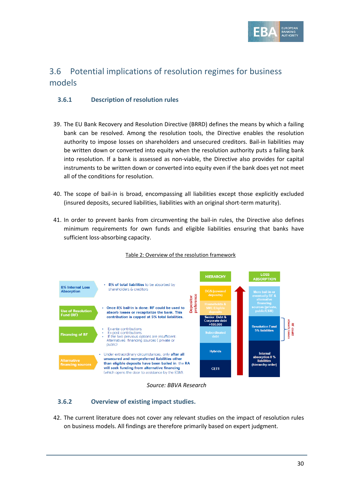

## <span id="page-29-0"></span>3.6 Potential implications of resolution regimes for business models

### <span id="page-29-1"></span>**3.6.1 Description of resolution rules**

- 39. The EU Bank Recovery and Resolution Directive (BRRD) defines the means by which a failing bank can be resolved. Among the resolution tools, the Directive enables the resolution authority to impose losses on shareholders and unsecured creditors. Bail-in liabilities may be written down or converted into equity when the resolution authority puts a failing bank into resolution. If a bank is assessed as non-viable, the Directive also provides for capital instruments to be written down or converted into equity even if the bank does yet not meet all of the conditions for resolution.
- 40. The scope of bail-in is broad, encompassing all liabilities except those explicitly excluded (insured deposits, secured liabilities, liabilities with an original short-term maturity).
- 41. In order to prevent banks from circumventing the bail-in rules, the Directive also defines minimum requirements for own funds and eligible liabilities ensuring that banks have sufficient loss-absorbing capacity.



#### Table 2: Overview of the resolution framework

*Source: BBVA Research*

### <span id="page-29-2"></span>**3.6.2 Overview of existing impact studies.**

42. The current literature does not cover any relevant studies on the impact of resolution rules on business models. All findings are therefore primarily based on expert judgment.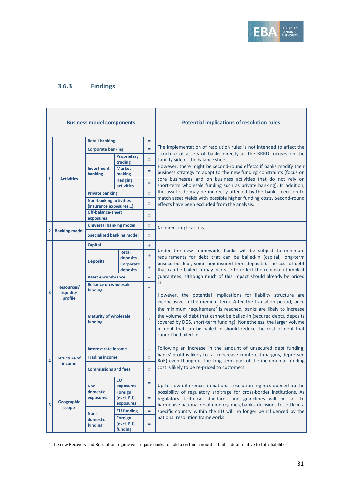

## <span id="page-30-0"></span>**3.6.3 Findings**

 $\overline{a}$ 

|              | <b>Business model components</b>   |                                                        |                                     |    | <b>Potential implications of resolution rules</b>                                                                                                                                                                                                                                                                                                                                                                                                                  |
|--------------|------------------------------------|--------------------------------------------------------|-------------------------------------|----|--------------------------------------------------------------------------------------------------------------------------------------------------------------------------------------------------------------------------------------------------------------------------------------------------------------------------------------------------------------------------------------------------------------------------------------------------------------------|
|              |                                    | <b>Retail banking</b>                                  |                                     | Ξ  |                                                                                                                                                                                                                                                                                                                                                                                                                                                                    |
|              |                                    | <b>Corporate banking</b>                               |                                     | Ξ  | The implementation of resolution rules is not intended to affect the                                                                                                                                                                                                                                                                                                                                                                                               |
|              |                                    | Proprietary<br>trading                                 |                                     | Ξ  | structure of assets of banks directly as the BRRD focuses on the<br>liability side of the balance sheet.                                                                                                                                                                                                                                                                                                                                                           |
|              |                                    | Investment<br>banking                                  | <b>Market</b><br>making             | Ξ  | However, there might be second-round effects if banks modify their<br>business strategy to adapt to the new funding constraints (focus on                                                                                                                                                                                                                                                                                                                          |
| $\mathbf{1}$ | <b>Activities</b>                  |                                                        | <b>Hedging</b><br><b>activities</b> | Ξ  | core businesses and on business activities that do not rely on<br>short-term wholesale funding such as private banking). In addition,                                                                                                                                                                                                                                                                                                                              |
|              |                                    | <b>Private banking</b>                                 |                                     | Ξ  | the asset side may be indirectly affected by the banks' decision to                                                                                                                                                                                                                                                                                                                                                                                                |
|              |                                    | <b>Non-banking activities</b><br>(insurance exposures) |                                     | Ξ  | match asset yields with possible higher funding costs. Second-round<br>effects have been excluded from the analysis.                                                                                                                                                                                                                                                                                                                                               |
|              |                                    | <b>Off-balance-sheet</b><br>exposures                  |                                     | Ξ  |                                                                                                                                                                                                                                                                                                                                                                                                                                                                    |
|              |                                    | <b>Universal banking model</b>                         |                                     | Ξ  | No direct implications.                                                                                                                                                                                                                                                                                                                                                                                                                                            |
| 2            | <b>Banking model</b>               | <b>Specialised banking model</b>                       |                                     | Ξ  |                                                                                                                                                                                                                                                                                                                                                                                                                                                                    |
|              |                                    | <b>Capital</b>                                         |                                     | ÷  |                                                                                                                                                                                                                                                                                                                                                                                                                                                                    |
|              | Resources/<br>liquidity<br>profile | <b>Deposits</b>                                        | Retail<br>deposits                  | ÷  | Under the new framework, banks will be subject to minimum<br>requirements for debt that can be bailed-in (capital, long-term                                                                                                                                                                                                                                                                                                                                       |
|              |                                    |                                                        | Corporate<br>deposits               | ÷  | unsecured debt, some non-insured term deposits). The cost of debt<br>that can be bailed-in may increase to reflect the removal of implicit                                                                                                                                                                                                                                                                                                                         |
|              |                                    | <b>Asset encumbrance</b>                               |                                     | L, | guarantees, although much of this impact should already be priced                                                                                                                                                                                                                                                                                                                                                                                                  |
|              |                                    | <b>Reliance on wholesale</b><br>funding                |                                     |    | in.                                                                                                                                                                                                                                                                                                                                                                                                                                                                |
| 3            |                                    | <b>Maturity of wholesale</b><br>funding                |                                     | ÷  | However, the potential implications for liability structure are<br>inconclusive in the medium term. After the transition period, once<br>the minimum requirement <sup>7</sup> is reached, banks are likely to increase<br>the volume of debt that cannot be bailed-in (secured debts, deposits<br>covered by DGS, short-term funding). Nonetheless, the larger volume<br>of debt that can be bailed in should reduce the cost of debt that<br>cannot be bailed-in. |
|              |                                    | <b>Interest rate income</b>                            |                                     | ۰  | Following an increase in the amount of unsecured debt funding,                                                                                                                                                                                                                                                                                                                                                                                                     |
| 4            | <b>Structure of</b>                | <b>Trading income</b>                                  |                                     | Ξ  | banks' profit is likely to fall (decrease in interest margins, depressed<br>RoE) even though in the long term part of the incremental funding                                                                                                                                                                                                                                                                                                                      |
|              | income                             | <b>Commissions and fees</b>                            |                                     |    | cost is likely to be re-priced to customers.                                                                                                                                                                                                                                                                                                                                                                                                                       |
|              |                                    | <b>EU</b><br>exposures<br><b>Non</b>                   |                                     | Ξ  | Up to now differences in national resolution regimes opened up the                                                                                                                                                                                                                                                                                                                                                                                                 |
|              |                                    | domestic<br>Foreign<br>exposures                       | (excl. EU)                          | ÷  | possibility of regulatory arbitrage for cross-border institutions. As<br>regulatory technical standards and guidelines will be set to                                                                                                                                                                                                                                                                                                                              |
| 5            | Geographic<br>scope                |                                                        | exposures                           |    | harmonise national resolution regimes, banks' decisions to settle in a                                                                                                                                                                                                                                                                                                                                                                                             |
|              |                                    | Non-                                                   | <b>EU funding</b><br>Foreign        | Ξ. | specific country within the EU will no longer be influenced by the<br>national resolution frameworks.                                                                                                                                                                                                                                                                                                                                                              |
|              |                                    | domestic<br>(excl. EU)<br>funding<br>funding           |                                     | ÷. |                                                                                                                                                                                                                                                                                                                                                                                                                                                                    |

<span id="page-30-1"></span> $^7$  The new Recovery and Resolution regime will require banks to hold a certain amount of bail-in debt relative to total liabilities.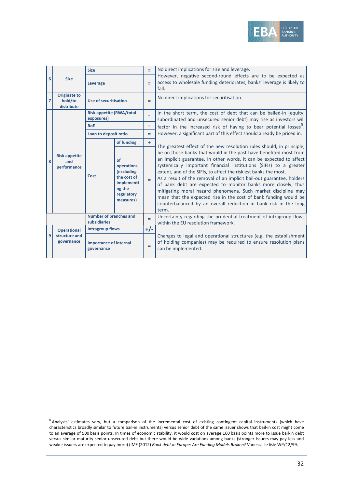

|                | <b>Size</b>                                  | <b>Size</b>                                   |                                                                                                  | $\equiv$  | No direct implications for size and leverage.                                                                                                                                                                                                                                                                                                                                                                                                                                                                                                                                                                                                  |
|----------------|----------------------------------------------|-----------------------------------------------|--------------------------------------------------------------------------------------------------|-----------|------------------------------------------------------------------------------------------------------------------------------------------------------------------------------------------------------------------------------------------------------------------------------------------------------------------------------------------------------------------------------------------------------------------------------------------------------------------------------------------------------------------------------------------------------------------------------------------------------------------------------------------------|
| 6              |                                              | Leverage                                      |                                                                                                  | Ξ         | However, negative second-round effects are to be expected as<br>access to wholesale funding deteriorates, banks' leverage is likely to<br>fall.                                                                                                                                                                                                                                                                                                                                                                                                                                                                                                |
| $\overline{7}$ | <b>Originate to</b><br>hold/to<br>distribute | Use of securitisation                         |                                                                                                  | =         | No direct implications for securitisation.                                                                                                                                                                                                                                                                                                                                                                                                                                                                                                                                                                                                     |
|                |                                              | <b>Risk appetite (RWA/total</b><br>exposures) |                                                                                                  |           | In the short term, the cost of debt that can be bailed-in (equity,<br>subordinated and unsecured senior debt) may rise as investors will                                                                                                                                                                                                                                                                                                                                                                                                                                                                                                       |
|                |                                              | <b>RoF</b>                                    |                                                                                                  | ۰         | factor in the increased risk of having to bear potential losses <sup>o</sup> .                                                                                                                                                                                                                                                                                                                                                                                                                                                                                                                                                                 |
|                |                                              | Loan to deposit ratio                         |                                                                                                  | =         | However, a significant part of this effect should already be priced in.                                                                                                                                                                                                                                                                                                                                                                                                                                                                                                                                                                        |
|                | <b>Risk appetite</b><br>and<br>performance   |                                               | of funding                                                                                       | $\ddot{}$ | The greatest effect of the new resolution rules should, in principle,                                                                                                                                                                                                                                                                                                                                                                                                                                                                                                                                                                          |
| 8              |                                              | Cost                                          | of<br>operations<br>(excluding<br>the cost of<br>implementi<br>ng the<br>regulatory<br>measures) | Ξ.        | be on those banks that would in the past have benefited most from<br>an implicit guarantee. In other words, it can be expected to affect<br>systemically important financial institutions (SIFIs) to a greater<br>extent, and of the SIFIs, to affect the riskiest banks the most.<br>As a result of the removal of an implicit bail-out guarantee, holders<br>of bank debt are expected to monitor banks more closely, thus<br>mitigating moral hazard phenomena. Such market discipline may<br>mean that the expected rise in the cost of bank funding would be<br>counterbalanced by an overall reduction in bank risk in the long<br>term. |
|                |                                              | Number of branches and<br>subsidiaries        |                                                                                                  | $=$       | Uncertainty regarding the prudential treatment of intragroup flows<br>within the EU resolution framework.                                                                                                                                                                                                                                                                                                                                                                                                                                                                                                                                      |
|                | <b>Operational</b>                           | <b>Intragroup flows</b>                       |                                                                                                  | $+/-$     |                                                                                                                                                                                                                                                                                                                                                                                                                                                                                                                                                                                                                                                |
| 9              | structure and<br>governance                  | <b>Importance of internal</b><br>governance   |                                                                                                  | =         | Changes to legal and operational structures (e.g. the establishment<br>of holding companies) may be required to ensure resolution plans<br>can be implemented.                                                                                                                                                                                                                                                                                                                                                                                                                                                                                 |

j

<span id="page-31-0"></span><sup>&</sup>lt;sup>8</sup> Analysts' estimates vary, but a comparison of the incremental cost of existing contingent capital instruments (which have characteristics broadly similar to future bail-in instruments) versus senior debt of the same issuer shows that bail-in cost might come to an average of 500 basis points. In times of economic stability, it would cost on average 160 basis points more to issue bail-in debt versus similar maturity senior unsecured debt but there would be wide variations among banks (stronger issuers may pay less and weaker issuers are expected to pay more) (IMF (2012) *Bank debt in Europe: Are Funding Models Broken?* Vanessa Le lisle WP/12/99.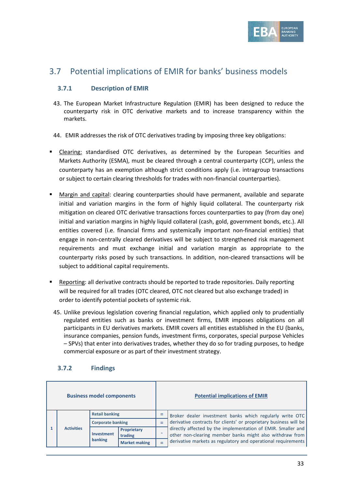

## <span id="page-32-0"></span>3.7 Potential implications of EMIR for banks' business models

### <span id="page-32-1"></span>**3.7.1 Description of EMIR**

- 43. The European Market Infrastructure Regulation (EMIR) has been designed to reduce the counterparty risk in OTC derivative markets and to increase transparency within the markets.
- 44. EMIR addresses the risk of OTC derivatives trading by imposing three key obligations:
- **Example 2** Clearing: standardised OTC derivatives, as determined by the European Securities and Markets Authority (ESMA), must be cleared through a central counterparty (CCP), unless the counterparty has an exemption although strict conditions apply (i.e. intragroup transactions or subject to certain clearing thresholds for trades with non-financial counterparties).
- Margin and capital: clearing counterparties should have permanent, available and separate initial and variation margins in the form of highly liquid collateral. The counterparty risk mitigation on cleared OTC derivative transactions forces counterparties to pay (from day one) initial and variation margins in highly liquid collateral (cash, gold, government bonds, etc.). All entities covered (i.e. financial firms and systemically important non-financial entities) that engage in non-centrally cleared derivatives will be subject to strengthened risk management requirements and must exchange initial and variation margin as appropriate to the counterparty risks posed by such transactions. In addition, non-cleared transactions will be subject to additional capital requirements.
- Reporting: all derivative contracts should be reported to trade repositories. Daily reporting will be required for all trades (OTC cleared, OTC not cleared but also exchange traded) in order to identify potential pockets of systemic risk.
- 45. Unlike previous legislation covering financial regulation, which applied only to prudentially regulated entities such as banks or investment firms, EMIR imposes obligations on all participants in EU derivatives markets. EMIR covers all entities established in the EU (banks, insurance companies, pension funds, investment firms, corporates, special purpose Vehicles – SPVs) that enter into derivatives trades, whether they do so for trading purposes, to hedge commercial exposure or as part of their investment strategy.

#### <span id="page-32-2"></span>**3.7.2 Findings**

| <b>Business model components</b> |                   |                              |                      |     | <b>Potential implications of EMIR</b>                                                                                                                                                     |
|----------------------------------|-------------------|------------------------------|----------------------|-----|-------------------------------------------------------------------------------------------------------------------------------------------------------------------------------------------|
|                                  | <b>Activities</b> | <b>Retail banking</b>        |                      |     | Broker dealer investment banks which regularly write OTC<br>derivative contracts for clients' or proprietary business will be                                                             |
|                                  |                   | <b>Corporate banking</b>     |                      | $=$ |                                                                                                                                                                                           |
|                                  |                   | <b>Investment</b><br>trading | Proprietary          |     | directly affected by the implementation of EMIR. Smaller and<br>other non-clearing member banks might also withdraw from<br>derivative markets as regulatory and operational requirements |
|                                  |                   | banking                      | <b>Market making</b> |     |                                                                                                                                                                                           |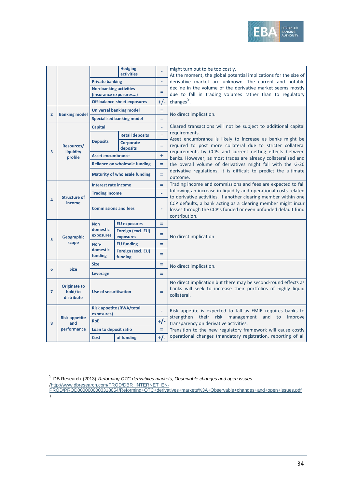

|                |                                              | <b>Hedging</b><br>activities                           |                                      |                | might turn out to be too costly.<br>At the moment, the global potential implications for the size of<br>derivative market are unknown. The current and notable<br>decline in the volume of the derivative market seems mostly<br>due to fall in trading volumes rather than to regulatory |
|----------------|----------------------------------------------|--------------------------------------------------------|--------------------------------------|----------------|-------------------------------------------------------------------------------------------------------------------------------------------------------------------------------------------------------------------------------------------------------------------------------------------|
|                |                                              | <b>Private banking</b>                                 |                                      | ÷,             |                                                                                                                                                                                                                                                                                           |
|                |                                              | <b>Non-banking activities</b><br>(insurance exposures) |                                      | $=$            |                                                                                                                                                                                                                                                                                           |
|                |                                              |                                                        | Off-balance-sheet exposures          | $+/-$          | changes $9$ .                                                                                                                                                                                                                                                                             |
|                |                                              |                                                        | <b>Universal banking model</b>       | $=$            |                                                                                                                                                                                                                                                                                           |
| $\overline{2}$ | <b>Banking model</b>                         | <b>Specialised banking model</b>                       |                                      | $=$            | No direct implication.                                                                                                                                                                                                                                                                    |
|                |                                              | <b>Capital</b>                                         |                                      | L,             | Cleared transactions will not be subject to additional capital                                                                                                                                                                                                                            |
|                |                                              |                                                        | <b>Retail deposits</b>               | $=$            | requirements.                                                                                                                                                                                                                                                                             |
|                | Resources/                                   | <b>Deposits</b>                                        | Corporate<br>deposits                | $=$            | Asset encumbrance is likely to increase as banks might be<br>required to post more collateral due to stricter collateral                                                                                                                                                                  |
| 3              | liquidity<br>profile                         | Asset encumbrance                                      |                                      | ÷              | requirements by CCPs and current netting effects between<br>banks. However, as most trades are already collateralised and                                                                                                                                                                 |
|                |                                              |                                                        | <b>Reliance on wholesale funding</b> | ÷              | the overall volume of derivatives might fall with the G-20                                                                                                                                                                                                                                |
|                |                                              |                                                        | <b>Maturity of wholesale funding</b> | Ξ              | derivative regulations, it is difficult to predict the ultimate<br>outcome.                                                                                                                                                                                                               |
|                |                                              | Interest rate income                                   |                                      | ÷,             | Trading income and commissions and fees are expected to fall                                                                                                                                                                                                                              |
|                | <b>Structure of</b><br>income                | <b>Trading income</b>                                  |                                      | $\blacksquare$ | following an increase in liquidity and operational costs related<br>to derivative activities. If another clearing member within one<br>CCP defaults, a bank acting as a clearing member might incur<br>losses through the CCP's funded or even unfunded default fund<br>contribution.     |
| 4              |                                              | <b>Commissions and fees</b>                            |                                      | ٠              |                                                                                                                                                                                                                                                                                           |
|                | <b>Geographic</b>                            | <b>Non</b><br>domestic<br>exposures                    | <b>EU exposures</b>                  | Ξ              |                                                                                                                                                                                                                                                                                           |
| 5              |                                              |                                                        | Foreign (excl. EU)<br>exposures      | Ξ              | No direct implication                                                                                                                                                                                                                                                                     |
|                | scope                                        | Non-                                                   | <b>EU funding</b>                    | ÷,             |                                                                                                                                                                                                                                                                                           |
|                |                                              | domestic<br>funding                                    | Foreign (excl. EU)<br>funding        | Ξ              |                                                                                                                                                                                                                                                                                           |
|                |                                              | <b>Size</b>                                            |                                      | Ξ              | No direct implication.                                                                                                                                                                                                                                                                    |
| 6              | <b>Size</b><br>Leverage                      |                                                        | $=$                                  |                |                                                                                                                                                                                                                                                                                           |
| $\overline{7}$ | <b>Originate to</b><br>hold/to<br>distribute | <b>Use of securitisation</b>                           |                                      | Ξ              | No direct implication but there may be second-round effects as<br>banks will seek to increase their portfolios of highly liquid<br>collateral.                                                                                                                                            |
|                |                                              | <b>Risk appetite (RWA/total</b><br>exposures)          |                                      | $\blacksquare$ | Risk appetite is expected to fall as EMIR requires banks to                                                                                                                                                                                                                               |
| 8              | <b>Risk appetite</b><br>and                  | <b>RoE</b>                                             |                                      | $+/-$          | strengthen their risk management<br>and<br>improve<br>to                                                                                                                                                                                                                                  |
|                | performance                                  | Loan to deposit ratio                                  |                                      | Ξ              | transparency on derivative activities.<br>Transition to the new regulatory framework will cause costly                                                                                                                                                                                    |
|                |                                              | Cost                                                   | of funding                           | $+/-$          | operational changes (mandatory registration, reporting of all                                                                                                                                                                                                                             |

 $\overline{a}$ 

<span id="page-33-0"></span><sup>9</sup> DB Research (2013) *Reforming OTC derivatives markets, Observable changes and open issues (*[http://www.dbresearch.com/PROD/DBR\\_INTERNET\\_EN-](http://www.dbresearch.com/PROD/DBR_INTERNET_EN-PROD/PROD0000000000318054/Reforming+OTC+derivatives+markets%3A+Observable+changes+and+open+issues.pdf)

[PROD/PROD0000000000318054/Reforming+OTC+derivatives+markets%3A+Observable+changes+and+open+issues.pdf](http://www.dbresearch.com/PROD/DBR_INTERNET_EN-PROD/PROD0000000000318054/Reforming+OTC+derivatives+markets%3A+Observable+changes+and+open+issues.pdf) )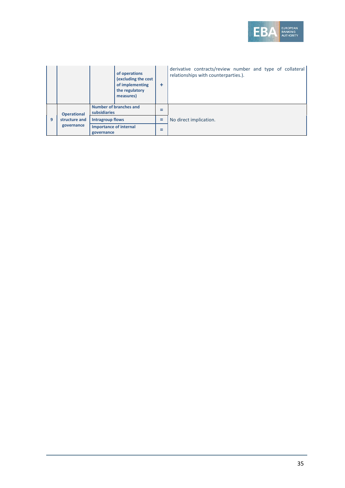

|   |                                                   | of operations<br>(excluding the cost<br>of implementing<br>the regulatory<br>measures) | ٠ | derivative contracts/review number and type of collateral<br>relationships with counterparties.). |
|---|---------------------------------------------------|----------------------------------------------------------------------------------------|---|---------------------------------------------------------------------------------------------------|
|   | <b>Operational</b><br>structure and<br>governance | Number of branches and<br>subsidiaries                                                 |   |                                                                                                   |
| 9 |                                                   | <b>Intragroup flows</b>                                                                |   | No direct implication.                                                                            |
|   |                                                   | <b>Importance of internal</b><br>governance                                            |   |                                                                                                   |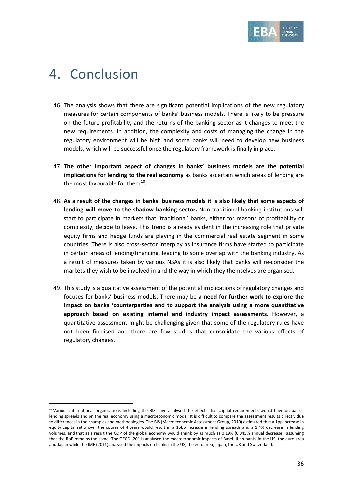

## <span id="page-35-0"></span>4. Conclusion

 $\overline{a}$ 

- 46. The analysis shows that there are significant potential implications of the new regulatory measures for certain components of banks' business models. There is likely to be pressure on the future profitability and the returns of the banking sector as it changes to meet the new requirements. In addition, the complexity and costs of managing the change in the regulatory environment will be high and some banks will need to develop new business models, which will be successful once the regulatory framework is finally in place.
- 47. **The other important aspect of changes in banks' business models are the potential implications for lending to the real economy** as banks ascertain which areas of lending are the most favourable for them $^{10}$ .
- 48. **As a result of the changes in banks' business models it is also likely that some aspects of lending will move to the shadow banking sector.** Non-traditional banking institutions will start to participate in markets that 'traditional' banks, either for reasons of profitability or complexity, decide to leave. This trend is already evident in the increasing role that private equity firms and hedge funds are playing in the commercial real estate segment in some countries. There is also cross-sector interplay as insurance firms have started to participate in certain areas of lending/financing, leading to some overlap with the banking industry. As a result of measures taken by various NSAs it is also likely that banks will re-consider the markets they wish to be involved in and the way in which they themselves are organised.
- 49. This study is a qualitative assessment of the potential implications of regulatory changes and focuses for banks' business models. There may be **a need for further work to explore the impact on banks 'counterparties and to support the analysis using a more quantitative approach based on existing internal and industry impact assessments.** However, a quantitative assessment might be challenging given that some of the regulatory rules have not been finalised and there are few studies that consolidate the various effects of regulatory changes.

<span id="page-35-1"></span> $10$  Various international organisations including the BIS have analysed the effects that capital requirements would have on banks' lending spreads and on the real economy using a macroeconomic model. It is difficult to compare the assessment results directly due to differences in their samples and methodologies. The BIS (Macroeconomic Assessment Group, 2010) estimated that a 1pp increase in equity capital ratio over the course of 4 years would result in a 15bp increase in lending spreads and a 1.4% decrease in lending volumes, and that as a result the GDP of the global economy would shrink by as much as 0.19% (0.045% annual decrease), assuming that the RoE remains the same. The OECD (2011) analysed the macroeconomic impacts of Basel III on banks in the US, the euro area and Japan while the IMF (2011) analysed the impacts on banks in the US, the euro area, Japan, the UK and Switzerland.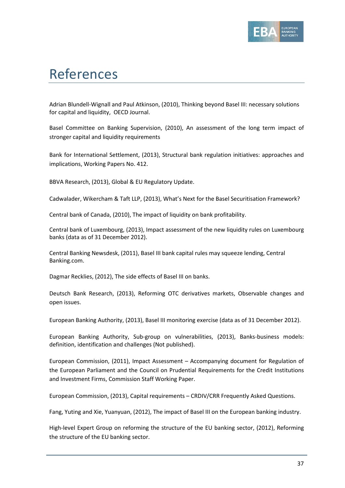

# <span id="page-36-0"></span>References

Adrian Blundell-Wignall and Paul Atkinson, (2010), Thinking beyond Basel III: necessary solutions for capital and liquidity, OECD Journal.

Basel Committee on Banking Supervision, (2010), An assessment of the long term impact of stronger capital and liquidity requirements

Bank for International Settlement, (2013), Structural bank regulation initiatives: approaches and implications, Working Papers No. 412.

BBVA Research, (2013), Global & EU Regulatory Update.

Cadwalader, Wikercham & Taft LLP, (2013), What's Next for the Basel Securitisation Framework?

Central bank of Canada, (2010), The impact of liquidity on bank profitability.

Central bank of Luxembourg, (2013), Impact assessment of the new liquidity rules on Luxembourg banks (data as of 31 December 2012).

Central Banking Newsdesk, (2011), Basel III bank capital rules may squeeze lending, Central Banking.com.

Dagmar Recklies, (2012), The side effects of Basel III on banks.

Deutsch Bank Research, (2013), Reforming OTC derivatives markets, Observable changes and open issues.

European Banking Authority, (2013), Basel III monitoring exercise (data as of 31 December 2012).

European Banking Authority, Sub-group on vulnerabilities, (2013), Banks-business models: definition, identification and challenges (Not published).

European Commission, (2011), Impact Assessment – Accompanying document for Regulation of the European Parliament and the Council on Prudential Requirements for the Credit Institutions and Investment Firms, Commission Staff Working Paper.

European Commission, (2013), Capital requirements – CRDIV/CRR Frequently Asked Questions.

Fang, Yuting and Xie, Yuanyuan, (2012), The impact of Basel III on the European banking industry.

High-level Expert Group on reforming the structure of the EU banking sector, (2012), Reforming the structure of the EU banking sector.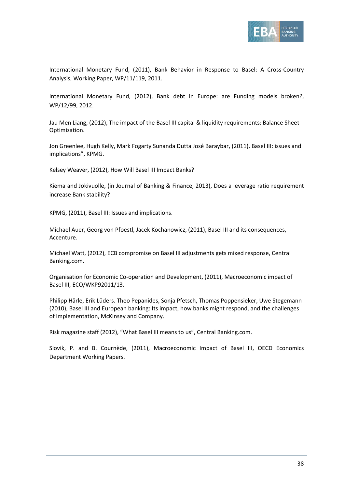

International Monetary Fund, (2011), Bank Behavior in Response to Basel: A Cross-Country Analysis, Working Paper, WP/11/119, 2011.

International Monetary Fund, (2012), Bank debt in Europe: are Funding models broken?, WP/12/99, 2012.

Jau Men Liang, (2012), The impact of the Basel III capital & liquidity requirements: Balance Sheet Optimization.

Jon Greenlee, Hugh Kelly, Mark Fogarty Sunanda Dutta José Baraybar, (2011), Basel III: issues and implications", KPMG.

Kelsey Weaver, (2012), How Will Basel III Impact Banks?

Kiema and Jokivuolle, (in Journal of Banking & Finance, 2013), Does a leverage ratio requirement increase Bank stability?

KPMG, (2011), Basel III: Issues and implications.

Michael Auer, Georg von Pfoestl, Jacek Kochanowicz, (2011), Basel III and its consequences, Accenture.

Michael Watt, (2012), ECB compromise on Basel III adjustments gets mixed response, Central Banking.com.

Organisation for Economic Co-operation and Development, (2011), Macroeconomic impact of Basel III, ECO/WKP92011/13.

Philipp Härle, Erik Lüders. Theo Pepanides, Sonja Pfetsch, Thomas Poppensieker, Uwe Stegemann (2010), Basel III and European banking: Its impact, how banks might respond, and the challenges of implementation, McKinsey and Company.

Risk magazine staff (2012), "What Basel III means to us", Central Banking.com.

Slovik, P. and B. Cournède, (2011), Macroeconomic Impact of Basel III, OECD Economics Department Working Papers.